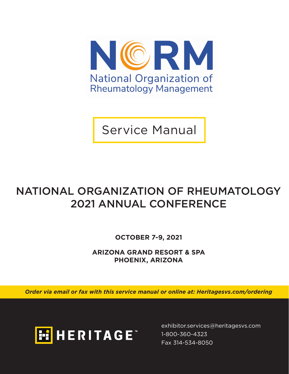

Service Manual

## NATIONAL ORGANIZATION OF RHEUMATOLOGY 2021 ANNUAL CONFERENCE

**OCTOBER 7-9, 2021**

**ARIZONA GRAND RESORT & SPA PHOENIX, ARIZONA**

*Order via email or fax with this service manual or online at: Heritagesvs.com/ordering*



exhibitor.services@heritagesvs.com Fax 314-534-8050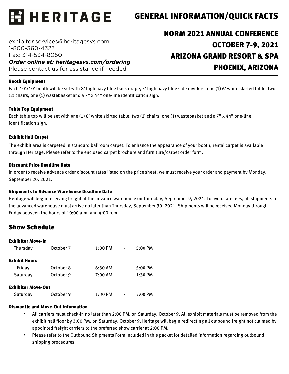

### GENERAL INFORMATION/QUICK FACTS

exhibitor.services@heritagesvs.com 1-800-360-4323 Fax: 314-534-8050 *Order online at: heritagesvs.com/ordering*  Please contact us for assistance if needed

## NORM 2021 ANNUAL CONFERENCE OCTOBER 7-9, 2021 ARIZONA GRAND RESORT & SPA PHOENIX, ARIZONA

#### Booth Equipment

Each 10'x10' booth will be set with 8' high navy blue back drape, 3' high navy blue side dividers, one (1) 6' white skirted table, two (2) chairs, one (1) wastebasket and a 7" x 44" one-line identification sign.

#### Table Top Equipment

Each table top will be set with one (1) 8' white skirted table, two (2) chairs, one (1) wastebasket and a 7" x 44" one-line identification sign.

#### Exhibit Hall Carpet

The exhibit area is carpeted in standard ballroom carpet. To enhance the appearance of your booth, rental carpet is available through Heritage. Please refer to the enclosed carpet brochure and furniture/carpet order form.

#### Discount Price Deadline Date

In order to receive advance order discount rates listed on the price sheet, we must receive your order and payment by Monday, September 20, 2021.

#### Shipments to Advance Warehouse Deadline Date

Heritage will begin receiving freight at the advance warehouse on Thursday, September 9, 2021. To avoid late fees, all shipments to the advanced warehouse must arrive no later than Thursday, September 30, 2021. Shipments will be received Monday through Friday between the hours of 10:00 a.m. and 4:00 p.m.

#### Show Schedule

| <b>Exhibitor Move-In</b>  |           |           |   |           |
|---------------------------|-----------|-----------|---|-----------|
| Thursday                  | October 7 | $1:00$ PM |   | 5:00 PM   |
| <b>Exhibit Hours</b>      |           |           |   |           |
| Friday                    | October 8 | $6:30$ AM | - | $5:00$ PM |
| Saturday                  | October 9 | 7:00 AM   | - | $1:30$ PM |
| <b>Exhibitor Move-Out</b> |           |           |   |           |
| Saturday                  | October 9 | $1:30$ PM |   | 3:00 PM   |

#### Dismantle and Move-Out Information

- All carriers must check-in no later than 2:00 PM, on Saturday, October 9. All exhibit materials must be removed from the exhibit hall floor by 3:00 PM, on Saturday, October 9. Heritage will begin redirecting all outbound freight not claimed by appointed freight carriers to the preferred show carrier at 2:00 PM.
- Please refer to the Outbound Shipments Form included in this packet for detailed information regarding outbound shipping procedures.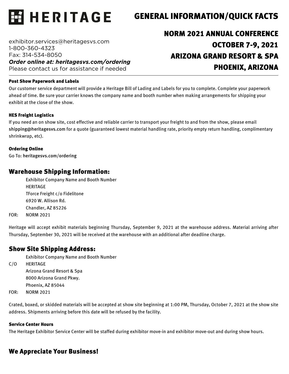

### GENERAL INFORMATION/QUICK FACTS

exhibitor.services@heritagesvs.com 1-800-360-4323 Fax: 314-534-8050 *Order online at: heritagesvs.com/ordering*  Please contact us for assistance if needed

## NORM 2021 ANNUAL CONFERENCE OCTOBER 7-9, 2021 ARIZONA GRAND RESORT & SPA PHOENIX, ARIZONA

#### Post Show Paperwork and Labels

Our customer service department will provide a Heritage Bill of Lading and Labels for you to complete. Complete your paperwork ahead of time. Be sure your carrier knows the company name and booth number when making arrangements for shipping your exhibit at the close of the show.

#### HES Freight Logistics

If you need an on show site, cost effective and reliable carrier to transport your freight to and from the show, please email shipping@heritagesvs.com for a quote (guaranteed lowest material handling rate, priority empty return handling, complimentary shrinkwrap, etc).

#### Ordering Online

Go To: heritagesvs.com/ordering

#### Warehouse Shipping Information:

Exhibitor Company Name and Booth Number HERITAGE TForce Freight c/o Fidelitone 6920 W. Allison Rd. Chandler, AZ 85226 FOR: NORM 2021

Heritage will accept exhibit materials beginning Thursday, September 9, 2021 at the warehouse address. Material arriving after Thursday, September 30, 2021 will be received at the warehouse with an additional after deadline charge.

#### Show Site Shipping Address:

Exhibitor Company Name and Booth Number

C/O HERITAGE Arizona Grand Resort & Spa 8000 Arizona Grand Pkwy. Phoenix, AZ 85044

FOR: NORM 2021

Crated, boxed, or skidded materials will be accepted at show site beginning at 1:00 PM, Thursday, October 7, 2021 at the show site address. Shipments arriving before this date will be refused by the facility.

#### Service Center Hours

The Heritage Exhibitor Service Center will be staffed during exhibitor move-in and exhibitor move-out and during show hours.

#### We Appreciate Your Business!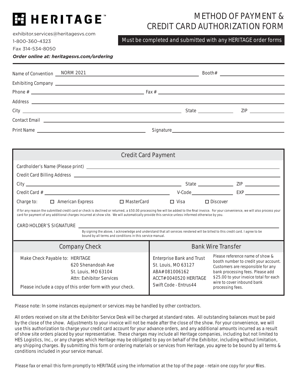## **EE HERITAGE**

## METHOD OF PAYMENT & CREDIT CARD AUTHORIZATION FORM

Must be completed and submitted with any HERITAGE order forms

exhibitor.services@heritagesvs.com 1-800-360-4323

Fax 314-534-8050

*Order online at: heritagesvs.com/ordering*

| Name of Convention <b>NORM 2021</b> |                                                                                                                 |  |  |
|-------------------------------------|-----------------------------------------------------------------------------------------------------------------|--|--|
|                                     |                                                                                                                 |  |  |
|                                     |                                                                                                                 |  |  |
|                                     | Address and the contract of the contract of the contract of the contract of the contract of the contract of the |  |  |
|                                     |                                                                                                                 |  |  |
|                                     |                                                                                                                 |  |  |
|                                     |                                                                                                                 |  |  |

| <b>Credit Card Payment</b>                                                                                                                                                                                                                                                                                                                   |                                                              |  |  |  |  |
|----------------------------------------------------------------------------------------------------------------------------------------------------------------------------------------------------------------------------------------------------------------------------------------------------------------------------------------------|--------------------------------------------------------------|--|--|--|--|
|                                                                                                                                                                                                                                                                                                                                              |                                                              |  |  |  |  |
| Credit Card Billing Address [2002] [2012] [2012] [2012] [2012] [2012] [2012] [2012] [2012] [2012] [2012] [2012] [2012] [2012] [2012] [2012] [2012] [2012] [2012] [2012] [2012] [2012] [2012] [2012] [2012] [2012] [2012] [2012                                                                                                               |                                                              |  |  |  |  |
|                                                                                                                                                                                                                                                                                                                                              |                                                              |  |  |  |  |
|                                                                                                                                                                                                                                                                                                                                              | V-Code EXP                                                   |  |  |  |  |
| Charge to:<br>$\Box$ American Express<br>$\square$ MasterCard                                                                                                                                                                                                                                                                                | $\Box$ Visa<br>$\Box$ Discover                               |  |  |  |  |
| If for any reason the submitted credit card or check is declined or returned, a \$50.00 processing fee will be added to the final invoice. For your convenience, we will also process your<br>card for payment of any additional charges incurred at show site. We will automatically provide this service unless informed otherwise by you. |                                                              |  |  |  |  |
| CARD HOLDER'S SIGNATURE                                                                                                                                                                                                                                                                                                                      |                                                              |  |  |  |  |
| By signing the above, I acknowledge and understand that all services rendered will be billed to this credit card. I agree to be<br>bound by all terms and conditions in this service manual.                                                                                                                                                 |                                                              |  |  |  |  |
| <b>Company Check</b>                                                                                                                                                                                                                                                                                                                         | <b>Bank Wire Transfer</b>                                    |  |  |  |  |
| Make Check Davable to: UEDITACE                                                                                                                                                                                                                                                                                                              | Please reference name of show &<br>Enterprise Rank and Trust |  |  |  |  |

| Make Check Payable to: HERITAGE<br>620 Shenandoah Ave<br>St. Louis, MO 63104<br>Attn: Exhibitor Services<br>Please include a copy of this order form with your check. | FIEASE LEIELEILLE HAHLE UI SHUW &<br>Enterprise Bank and Trust<br>booth number to credit your account.<br>St. Louis, MO 63127<br>Customers are responsible for any<br>ABA# 081006162<br>bank processing fees. Please add<br>\$25.00 to your invoice total for each<br>ACCT# 0040520 HERITAGE<br>wire to cover inbound bank<br>Swift Code - Entrus44<br>processing fees. |
|-----------------------------------------------------------------------------------------------------------------------------------------------------------------------|-------------------------------------------------------------------------------------------------------------------------------------------------------------------------------------------------------------------------------------------------------------------------------------------------------------------------------------------------------------------------|
|-----------------------------------------------------------------------------------------------------------------------------------------------------------------------|-------------------------------------------------------------------------------------------------------------------------------------------------------------------------------------------------------------------------------------------------------------------------------------------------------------------------------------------------------------------------|

Please note: In some instances equipment or services may be handled by other contractors.

All orders received on site at the Exhibitor Service Desk will be charged at standard rates. All outstanding balances must be paid by the close of the show. Adjustments to your invoice will not be made after the close of the show. For your convenience, we will use this authorization to charge your credit card account for your advance orders, and any additional amounts incurred as a result of show site orders placed by your representative. These charges may include all Heritage companies, including but not limited to HES Logistics, Inc., or any charges which Heritage may be obligated to pay on behalf of the Exhibitor, including without limitation, any shipping charges. By submitting this form or ordering materials or services from Heritage, you agree to be bound by all terms & conditions included in your service manual.

Please fax or email this form promptly to HERITAGE using the information at the top of the page - retain one copy for your files.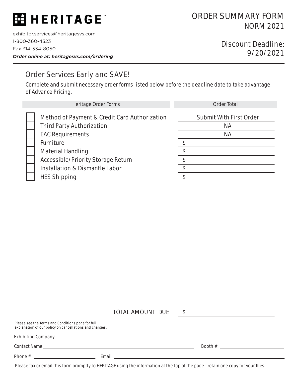## E HERITAGE

exhibitor.services@heritagesvs.com 1-800-360-4323 Fax 314-534-8050 *Order online at: heritagesvs.com/ordering*

### Discount Deadline: 9/20/2021

### Order Services Early and SAVE!

Complete and submit necessary order forms listed below before the deadline date to take advantage of Advance Pricing.

| Heritage Order Forms                                                                                                                                                                                                                                                   | <b>Order Total</b>                                       |
|------------------------------------------------------------------------------------------------------------------------------------------------------------------------------------------------------------------------------------------------------------------------|----------------------------------------------------------|
| Method of Payment & Credit Card Authorization<br><b>Third Party Authorization</b><br><b>EAC Requirements</b><br>Furniture<br><b>Material Handling</b><br><b>Accessible/Priority Storage Return</b><br><b>Installation &amp; Dismantle Labor</b><br><b>HES Shipping</b> | <b>Submit With First Order</b><br><b>NA</b><br><b>NA</b> |

TOTAL AMOUNT DUE

\$

| Please see the Terms and Conditions page for full<br>explanation of our policy on cancellations and changes.                                                                                                                                                                                                          |  |         |
|-----------------------------------------------------------------------------------------------------------------------------------------------------------------------------------------------------------------------------------------------------------------------------------------------------------------------|--|---------|
|                                                                                                                                                                                                                                                                                                                       |  |         |
| Contact Name                                                                                                                                                                                                                                                                                                          |  | Booth # |
| Phone # $\frac{1}{2}$ $\frac{1}{2}$ $\frac{1}{2}$ $\frac{1}{2}$ $\frac{1}{2}$ $\frac{1}{2}$ $\frac{1}{2}$ $\frac{1}{2}$ $\frac{1}{2}$ $\frac{1}{2}$ $\frac{1}{2}$ $\frac{1}{2}$ $\frac{1}{2}$ $\frac{1}{2}$ $\frac{1}{2}$ $\frac{1}{2}$ $\frac{1}{2}$ $\frac{1}{2}$ $\frac{1}{2}$ $\frac{1}{2}$ $\frac{1}{2}$ $\frac$ |  |         |

Please fax or email this form promptly to HERITAGE using the information at the top of the page - retain one copy for your files.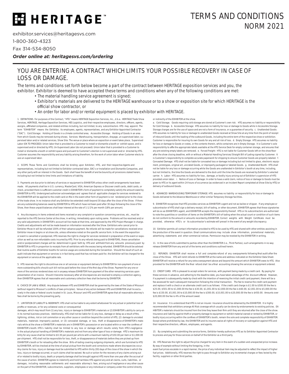## **HERITAGE**

exhibitor.services@heritagesvs.com

1-800-360-4323

Fax 314-534-8050

*Order online at: heritagesvs.com/ordering*

#### YOU ARE ENTERING A CONTRACT WHICH LIMITS YOUR POSSIBLE RECOVERY IN CASE OF LOSS OR DAMAGE.

The terms and conditions set forth below become a part of the contract between HERITAGE exposition services and you, the exhibitor. Exhibitor is deemed to have accepted these terms and conditions when any of the following conditions are met:

- The material handling service agreement is signed;
- Exhibitor's materials are delivered to the HERITAGE warehouse or to a show or exposition site for which HERITAGE is the official show contractor, or
- An order for labor and/or rental equipment is placed by exhibitor with HERITAGE.

1. DEFINITIONS. For purposes of the Contract, "HTG" means HERITAGE Exposition Services, Inc., d.b.a. HERITAGE Trade Show Services, HERITAGE, Heritage Exposition Services, HES Logistics, and their respective employees, directors, officers, agents, assigns, affiliated companies, and related entities including, but not limited, to any subcontractors HTG may appoint. The term "EXHIBITOR" means the Exhibitor, its employees, agents, representatives, and any Exhibitor Appointed Contractor ("EAC"). Cold Storage: Holding of Goods in a climate controlled area; Accessible Storage: Holding of Goods in an area from which Goods may be removed during shows; Services: Warehousing, transportation, drayage, un-supervised labor, supervised labor and/or related services; Show Site: The venue or place where an exposition or event takes place; Supervised Labor (OK TO PROCEED): Union labor that is provided to a Customer to install or dismantle a booth or exhibit space, and is supervised and/or directed by HTG; Un-Supervised Labor (do not proceed): Union labor that is provided to a Customer to install or dismantle a booth or exhibit space and pursuant to Customer's election is not supervised and/or directed by HTG. Customer assumes the responsibility and any liability arising therefrom, for the work of union labor when Customer elects to use un-supervised labor.

2. SCOPE. These Terms and Conditions shall be binding upon Exhibitor, HTG, and their respective Agents and representatives, including but not limited to Exhibitor contracted labor, EAC's or Installation and Dismantle Companies, and any other party with an interest in the Goods. Each shall have the benefit of and be bound by all provisions stated herein, including but not limited to time limits and limitations of liability.

3. Payments are due prior to delivery of services or equipment to EXHIBITOR unless other credit arrangements have been made. All payments shall be in U.S. currency, MasterCard, VISA, American Express or Discover credit cards, debit cards, or check, provided there is sufficient customer credit in EXHIBITOR's form of payment to completely satisfy the amount owed by EXHIBITOR to HTG. Undersigned authorizer acknowledges and agrees that all applicable charges for services rendered to the EXHIBITOR will be applied to the credit card on file in the event other form of payment is not tendered prior to the close of the trade show. In no instance shall any Exhibitor be extended credit beyond 30 days after the close of the Show. If there are any outstanding balances owed by EXHIBITOR to HTG which have not been paid after 30 days following the close of the Show, then these unpaid balances shall bear interest at the rate of 1-1/2% per month (18% per annum).

4. Any discrepancy in items ordered and items received or any complaint or question concerning services, etc., must be reported to the HTG Service Center at the show, in writing, immediately upon noting same. Problems will be resolved and/or any valid adjustments in EXHIBITOR's account will be made at that time, and approved by the HTG Project Manager in charge. Credits and adjustments will not be made based on information received after the Show. Exhibitors who cancel prior to Exhibitor Move-In will be refunded 100% of their advance payment. No refunds will be made for cancellations received once Exhibitor move-in begins or at show site, unless otherwise noted on the specific service form. In the event the exposition or event is cancelled or postponed, HTG reserves the right to charge for services rendered in preparation of the event or exposition as well as non-refundable costs incurred by HTG. Prior to any refunds being paid to EXHIBITORS, these cancellation and/or postponement charges will be determined in good faith by HTG and withheld from any amounts previously paid by EXHIBITOR to HTG in proportion to receipts from all exhibitors with the excess being refunded. EXHIBITOR should be advised that routine audits of Exhibitor booths for service usage are conducted during the Convention. Should the result of such an audit indicate that equipment or services is in fact being used that has not been paid for, the Exhibitor will be charged for the equipment or service at the applicable rate.

5. HTG reserves the right to discontinue one or all services or equipment delivery to EXHIBITOR for non-payment of one or more outstanding bills should such bill not be paid before the close of the first day of the Show. Payment for any one or more of the services rendered does not in anyway release EXHIBITOR from payment of the other remaining services upon presentation of an invoice. Should it become necessary after all discrepancies are resolved to employ a collection agency, then EXHIBITOR agrees that all reasonable and customary collection fees shall be borne by EXHIBITOR.

6. CHOICE OF LAW & VENUE. Any dispute between HTG and EXHIBITOR shall be governed by the laws of the State of Missouri (without regard to Missouri's conflicts of laws principles). Venue of any action between HTG and EXHIBITOR shall lie exclusively in the state or federal courts located in St. Louis, Missouri and HTG and EXHIBITOR agree that all reasonable attorney's fees shall be borne by the prevailing party.

7. LIMITATION OF LIABILITY & INDEMNITY. HTG shall not be liable to any extent whatsoever for any actual or potential loss of profits or revenues, or for any collateral costs or consequential

damages, which may result from (1) any loss, injury or damage to EXHIBITOR's materials or (2) EXHIBITOR's ability to carry-on in its normal business practices. Additionally, HTG shall not be liable for (1) any loss, damage or delay as a result of fire lightning, strikes, riot or civil commotion or any other cause or condition beyond the control of HTG, (2) damage to uncrated materials, materials improperly packed, or (3) concealed damage, or loss, theft or disappearance of EXHIBITOR's mate rials while at the show or EXHIBITOR's materials are in EXHIBITOR's possession or are located within or near the confines of EXHIBITOR's booth. HTG's liability shall be limited to any loss or damage which results solely from HTG's negligence in the actual physical handling of EXHIBITOR's materials and not from any other type of loss or damage. HTG's maximum liability for any cause shall be limited to \$0.30 per pound per article with a maximum liability of \$50.00 per item or \$1,000.00 per shipment. HTG shall not be responsible for loss, theft, or disappearance of materials before they are picked up from EXHIBITOR's booth or for reloading after the show. Bills-of-lading covering outgoing shipments, which are furnished to HTG by EXHIBITOR, will be checked at the time of actual pickup from the booth and corrections made where discrepancies occur Any claims for loss, injury or damage must be submitted to HTG within thirty (30) days of the close of the show in which the loss, injury or damage occurred, or such claims shall be waived. No suit or action for the recovery of any claims arising out of or related to bodily injury, death,or property damage shall be brought against HTG more than one year after the accrual of the cause of action. EXHIBITOR agrees to indemnify and hold harmless HTG against any and all claims, suits, liabilities, or damages, including reasonable settlements and reasonable attorney's fees, arising out of negligence or any other cause on the part of the EXHiBITOR, subcontractors, suppliers, employees or any individual or company under the control directly

or indirectly of the EXHIBITOR at the show.

a. Cold Storage. Goods requiring cold storage are stored at Customer's own risk. HTG assumes no liability or responsibility for Cold Storage. b. Accessible Storage: HTG assumes no liability for loss or damage to Goods while in Accessible Storage. Storage charges are for the use of space and are not a form of insurance, or a guarantee of security. c. Unattended Goods: HTG assumes no liability for loss or damage to unattended Goods received at Show Site at any time from the point of receipt of inbound Goods until the loading of the outbound Goods, including the entire term of the respective show or exhibition. Customer is responsible for insuring its own Goods for any and all risk of loss. d. Empty Storage: HTG assumes no liability for loss or damage to Goods or crates, or the contents therein, while containers are in Empty Storage. It is Customer's sole responsibility to affix the appropriate labels available at the HTG Service Desk for empty container storage, and ensures that any pre-existing empty labels are removed. e. Forced Freight: HTG is not liable for Customer Goods left on the show floor after the show closing deadline, with or without a Material Handling Services/Straight Bill of Lading signed by Customer. It is Customer's responsibility to complete accurate paperwork for shipping to ensure Customer Goods are properly labeled. f. Concealed Damage: HTG shall not be liable for concealed loss or damage including but not limited to glass, electronic equipment, prototypes, original art, uncrated Goods, or improperly packaged or labeled Goods. g. Unattended Booth: HTG shall not be liable for any loss or damage occurring while the Goods are unattended in Exhibitor's booth at any time, including, but not limited to, the time the Goods are delivered to the dock until the time the Goods are received by Exhibitor's selected carrier. h. Labor: HTG assumes no liability for loss , damage, or bodily injury arising out of Exhibitor's supervision of HTG provided union labor. i. Notice of Loss or Damage: In order to have a valid claim, notice of loss or damage to Goods must be given to HTG or its agent within 24 hours of occurrence (as evidenced in an Incident Report completed at Show Site by HTG) or delivery of outbound Goods.

8. ADVANCED WAREHOUSING/TEMPORARY STORAGE: HTG assumes no liability or responsibility for loss or damage to Goods delivered to the Advance Warehouse or other similar Temporary Storage facilities.

9. EXHIBITOR recognizes that HTG provides services as EXHIBITOR's agent and not as bailee or shipper. If any employee or subcontractor of HTG shall sign a delivery receipt, bill-of-lading, or other document, EXHIBITOR agrees that these signatories will do so as EXHIBITOR's agent, and EXHIBITOR accepts the responsibility thereof. HTG or its subcontractors are authorized to note the quantities or condition of items on the EXHIBITOR's bill-of-lading when the actual count or condition of such items do not conform to the amount or amounts recorded by EXHIBITOR. Correct weights with Weight Certificate must be provided, otherwise HTG's or its subcontractor's estimate will prevail in the event of any weight discrepancy.

10. Exhibitor permits all contact information provided to HTG to be used by HTG and shared with other entities assisting in the production of the event in question. Email communications may include show information, promotional materials, advertising statements and other commercial notices. Permission may be revoked by the EXHIBITOR in writing.

11. In the case of bills submitted to parties other than the EXHIBITOR (i.e., Third Parties), such arrangements in no way release EXHIBITOR from any and all of the terms and conditions outlined herein.

12. REFUNDS: EXHIBITOR shall receive a full and complete refund of any overpayments following final audit after the close of the Show. HTG will remit refunds to EXHIBITOR at the name and address indicated on the Exhibitor Data Sheet. EXHIBITOR will receive a refund for any extra overpayment above and beyond the amount which EXHIBITOR owes to HTG. Also provided for the EXHIBITOR with the final refund shall be a final accounting showing the services or equipment ordered

13. CREDIT CARD: HTG is pleased to accept orders for services, with payment being made by a credit card. By paying for these services in advance, and adhering to the deadline date, you have taken advantage of the discount offered. However, if a payment is subsequently made by check with the intention of reversing the initial credit card payment, there will be a fee assessed for each subsequent transaction following the initial transaction. The fee to reverse the credit card payment and replace it with a check or an alternate credit card is as follows: If the credit card charge is \$1.00 to \$500.00 the fee is \$25.00, \$501.00 to \$1,000.00 the fee is \$30.00, \$1,001.00 to \$2,000.00 the fee is \$60.00, \$2,001.00 to \$5,000.00 the fee is \$150.00, \$5,001.00 to \$10,000.00 the fee is \$300.00, \$10,001.00 to \$20,000.00 the fee is \$450.00. Amounts over \$20,000.00 the fee is 4% of the amount owed.

14. Insurance: It is understood that HTG is not an insurer. Insurance should be obtained by the EXHIBITOR. It is highly recommended that exhibitors arrange All Risk coverage which usually can be done by endorsements to existing policies. EX-HIBITOR's materials should be insured from the time they leave their firm until they are returned after the close of the show. Insurance and liability against theft or property damage to equipment or exhibit material owned or rented by EXHIBITOR, or bodily injury occurring within the confines of EXHIBITOR's booth, remain the sole and complete responsibility of EXHIBITOR. Except where prohibited by law, the EXHIBITOR and its insurers waive all rights of recovery or subrogation against HTG and their respective directors, officers, employees, and agents.

15. By completing and submitting the service forms, Exhibitor hereby authorizes HTG as its Exhibitor Appointed Contractor to process and pay for those services on behalf of the Exhibitor as a third party.

16. HTG Reserves the right to adjust the price charged for any item in the event of a sudden and unexpected price increase. By way of example without limiting the foregoing, in the

event fuel prices escalate in a rapid manner, the price of any individual item may be adjusted to reflect the impact of higher fuel prices. Additionally, HTG reserves the right to pass through to Exhibitor any incremental charges or fees levied by the facility, suppliers or other third parties.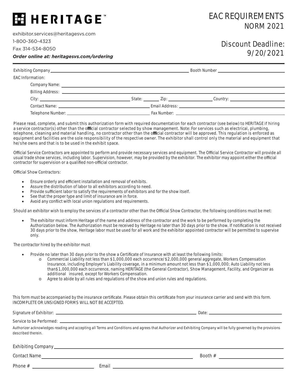## **MHERITAGE**

exhibitor.services@heritagesvs.com

1-800-360-4323

Fax 314-534-8050

### EAC REQUIREMENTS NORM 2021

### Discount Deadline: 9/20/2021

*Order online at: heritagesvs.com/ordering*

| <b>EAC Information:</b> |  |                                                                                                                                                                                                                               |  |
|-------------------------|--|-------------------------------------------------------------------------------------------------------------------------------------------------------------------------------------------------------------------------------|--|
|                         |  |                                                                                                                                                                                                                               |  |
|                         |  |                                                                                                                                                                                                                               |  |
|                         |  | Country: the country of the country of the country of the country of the country of the country of the country                                                                                                                |  |
|                         |  | Email Address: New York Street, New York Street, New York Street, New York Street, New York Street, New York S                                                                                                                |  |
|                         |  | Fax Number: The Company of the Company of the Company of the Company of the Company of the Company of the Company of the Company of the Company of the Company of the Company of the Company of the Company of the Company of |  |

Please read, complete, and submit this authorization form with required documentation for each contractor (see below) to HERITAGE if hiring a service contractor(s) other than the official contractor selected by show management. Note: For services such as electrical, plumbing, telephone, cleaning and material handling, no contractor other than the official contractor will be approved. This requlation is enforced as equipment and facilities are the sole responsibility of the respective owner. The exhibitor shall control only the material and equipment that he/she owns and that is to be used in the exhibit space.

Official Service Contractors are appointed to perform and provide necessary services and equipment. The Official Service Contractor will provide all usual trade show services, including labor. Supervision, however, may be provided by the exhibitor. The exhibitor may appoint either the official contractor for supervision or a qualified non-official contractor.

Official Show Contractors:

- Ensure orderly and efficient installation and removal of exhibits.
- Assure the distribution of labor to all exhibitors according to need.
- Provide sufficient labor to satisfy the requirements of exhibitors and for the show itself.
- See that the proper type and limit of insurance are in force.
- Avoid any conflict with local union regulations and requirements.

Should an exhibitor wish to employ the services of a contractor other than the Official Show Contractor, the following conditions must be met:

The exhibitor must inform Heritage of the name and address of the contractor and the work to be performed by completing the Authorization below. The Authorization must be received by Heritage no later than 30 days prior to the show. If notification is not received 30 days prior to the show, Heritage labor must be used for all work and the exhibitor appointed contractor will be permitted to supervise only.

The contractor hired by the exhibitor must

- Provide no later than 30 days prior to the show a Certificate of Insurance with at least the following limits:
	- o Commercial Liability not less than \$1,000,000 each occurrence/\$2,000,000 general aggregate, Workers Compensation Insurance, including Employer's Liability coverage, in a minimum amount not less than \$1,000,000; Auto Liability not less than\$1,000,000 each occurrence, naming HERITAGE (the General Contractor), Show Management, Facility, and Organizer as additional insured, except for Workers Compensation.
	- o Agree to abide by all rules and regulations of the show and union rules and regulations.

This form must be accompanied by the insurance certificate. Please obtain this certificate from your insurance carrier and send with this form. INCOMPLETE OR UNSIGNED FORMS WILL NOT BE ACCEPTED.

| Authorizer acknowledges reading and accepting all Terms and Conditions and agrees that Authorizer and Exhibiting Company will be fully governed by the provisions<br>described therein. |  |
|-----------------------------------------------------------------------------------------------------------------------------------------------------------------------------------------|--|
|                                                                                                                                                                                         |  |

Contact Name **Contact Name** 

Phone # Email

Booth #  $\qquad$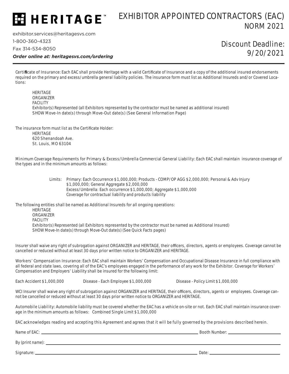#### EXHIBITOR APPOINTED CONTRACTORS (EAC)  $\overline{\bf 3}$  HERITAGE" NORM 2021

exhibitor.services@heritagesvs.com

1-800-360-4323

Fax 314-534-8050

*Order online at: heritagesvs.com/ordering*

### Discount Deadline: 9/20/2021

Certificate of Insurance: Each EAC shall provide Heritage with a valid Certificate of Insurance and a copy of the additional insured endorsements required on the primary and excess/umbrella general liability policies. The insurance form must list as Additional Insureds and/or Covered Locations:

 HERITAGE **ORGANIZER**  FACILITY Exhibitor(s) Represented (all Exhibitors represented by the contractor must be named as additional insured) SHOW Move-In date(s) through Move-Out date(s) (See General Information Page)

The insurance form must list as the Certificate Holder:

HERITAGE 620 Shenandoah Ave. St. Louis, MO 63104

Minimum Coverage Requirements for Primary & Excess/Umbrella Commercial General Liability: Each EAC shall maintain insurance coverage of the types and in the minimum amounts as follows:

> Limits: Primary: Each Occurrence \$1,000,000; Products - COMP/OP AGG \$2,000,000; Personal & Adv Injury \$1,000,000; General Aggregate \$2,000,000 Excess/Umbrella: Each occurrence \$1,000,000; Aggregate \$1,000,000 Coverage for contractual liability and products liability

The following entities shall be named as Additional Insureds for all ongoing operations:

**HERITAGE ORGANIZER** FACILITY

 Exhibitor(s) Represented (all Exhibitors represented by the contractor must be named as Additional Insured) SHOW Move-In date(s) through Move-Out date(s) (See Quick Facts pages)

Insurer shall waive any right of subrogation against ORGANIZER and HERITAGE, their officers, directors, agents or employees. Coverage cannot be cancelled or reduced without at least 30 days prior written notice to ORGANIZER and HERITAGE.

Workers' Compensation Insurance: Each EAC shall maintain Workers' Compensation and Occupational Disease Insurance in full compliance with all federal and state laws, covering all of the EAC's employees engaged in the performance of any work for the Exhibitor. Coverage for Workers' Compensation and Employers' Liability shall be insured for the following limit:

Each Accident \$1,000,000 Disease - Each Employee \$1,000,000 Disease - Policy Limit \$1,000,000

WCI Insurer shall waive any right of subrogation against ORGANIZER and HERITAGE, their officers, directors, agents or employees. Coverage cannot be cancelled or reduced without at least 30 days prior written notice to ORGANIZER and HERITAGE.

Automobile Liability: Automobile liability must be covered whether the EAC has a vehicle on-site or not. Each EAC shall maintain insurance coverage in the minimum amounts as follows: Combined Single Limit \$1,000,000

EAC acknowledges reading and accepting this Agreement and agrees that it will be fully governed by the provisions described herein.

Name of EAC: Booth Number:

By (print name):

Signature: Date: Date: Date: Date: Date: Date: Date: Date: Date: Date: Date: Date: Date: Date: Date: Date: Date: Date: Date: Date: Date: Date: Date: Date: Date: Date: Date: Date: Date: Date: Date: Date: Date: Date: Date: D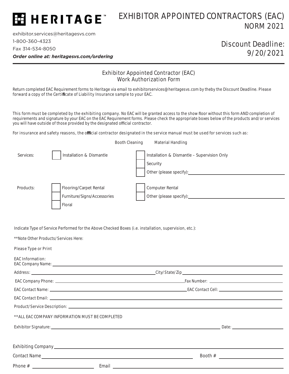## HERITAGE<sup>\*</sup>

### EXHIBITOR APPOINTED CONTRACTORS (EAC) NORM 2021

exhibitor.services@heritagesvs.com 1-800-360-4323 Fax 314-534-8050

### Discount Deadline: 9/20/2021

*Order online at: heritagesvs.com/ordering*

#### Exhibitor Appointed Contractor (EAC) Work Authorization Form

Return completed EAC Requirement forms to Heritage via email to exhibitorservices@heritagesvs.com by theby the Discount Deadline. Please forward a copy of the Certificate of Liability Insurance sample to your EAC.

This form must be completed by the exhibiting company. No EAC will be granted access to the show floor without this form AND completion of requirements and signature by your EAC on the EAC Requirement forms. Please check the appropriate boxes below of the products and/or services you will have outside of those provided by the designated official contractor.

For insurance and safety reasons, the official contractor designated in the service manual must be used for services such as:

|           |                                                                 | <b>Booth Cleaning</b><br><b>Material Handling</b>                                  |
|-----------|-----------------------------------------------------------------|------------------------------------------------------------------------------------|
| Services: | Installation & Dismantle                                        | Installation & Dismantle - Supervision Only<br>Security<br>Other (please specify): |
| Products: | Flooring/Carpet Rental<br>Furniture/Signs/Accessories<br>Floral | Computer Rental<br>Other (please specify):                                         |

Indicate Type of Service Performed for the Above Checked Boxes (i.e. installation, supervision, etc.):

\*\*Note Other Products/Services Here:

#### Please Type or Print

#### EAC Information:

| ** ALL EAC COMPANY INFORMATION MUST BE COMPLETED |  |
|--------------------------------------------------|--|
|                                                  |  |
|                                                  |  |
|                                                  |  |
|                                                  |  |
|                                                  |  |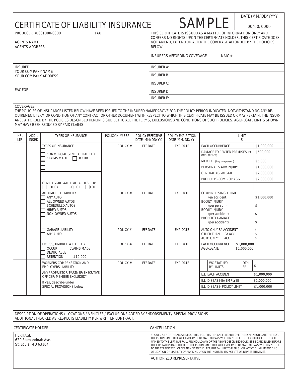|                 | <b>AGENTS NAME</b><br><b>AGENTS ADDRESS</b> | PRODUCER (000) 000-0000<br><b>FAX</b>                                                                                                                                                                                                                                                                                                                                                                                                                                                                                |                | <b>BELOW.</b>                      |                                    | THIS CERTIFICATE IS ISSUED AS A MATTER OF INFORMATION ONLY AND<br>CONFERS NO RIGHTS UPON THE CERTIFICATE HOLDER. THIS CERTIFICATE DOES<br>NOT AMEND, EXTEND OR ALTER THE COVERAGE AFFORDED BY THE POLICIES |                            |                               |
|-----------------|---------------------------------------------|----------------------------------------------------------------------------------------------------------------------------------------------------------------------------------------------------------------------------------------------------------------------------------------------------------------------------------------------------------------------------------------------------------------------------------------------------------------------------------------------------------------------|----------------|------------------------------------|------------------------------------|------------------------------------------------------------------------------------------------------------------------------------------------------------------------------------------------------------|----------------------------|-------------------------------|
|                 |                                             |                                                                                                                                                                                                                                                                                                                                                                                                                                                                                                                      |                |                                    | <b>INSURERS AFFORDING COVERAGE</b> | <b>NAIC#</b>                                                                                                                                                                                               |                            |                               |
| <b>INSURED</b>  |                                             |                                                                                                                                                                                                                                                                                                                                                                                                                                                                                                                      |                | <b>INSURER A:</b>                  |                                    |                                                                                                                                                                                                            |                            |                               |
|                 |                                             | <b>YOUR COMPANY NAME</b><br><b>YOUR COMPANY ADDRESS</b>                                                                                                                                                                                                                                                                                                                                                                                                                                                              |                | <b>INSURER B:</b>                  |                                    |                                                                                                                                                                                                            |                            |                               |
|                 |                                             |                                                                                                                                                                                                                                                                                                                                                                                                                                                                                                                      |                | <b>INSURER C:</b>                  |                                    |                                                                                                                                                                                                            |                            |                               |
| <b>EAC FOR:</b> |                                             |                                                                                                                                                                                                                                                                                                                                                                                                                                                                                                                      |                | <b>INSURER D:</b>                  |                                    |                                                                                                                                                                                                            |                            |                               |
|                 |                                             |                                                                                                                                                                                                                                                                                                                                                                                                                                                                                                                      |                | <b>INSURER E:</b>                  |                                    |                                                                                                                                                                                                            |                            |                               |
| <b>INSL</b>     | ADD'L                                       | THE POLICIES OF INSURANCE LISTED BELOW HAVE BEEN ISSUED TO THE INSURED NAMEDABOVE FOR THE POLICY PERIOD INDICATED. NOTWITHSTANDING ANY RE-<br>QUIREMENT, TERM OR CONDITION OF ANY CONTRACT OR OTHER DOCUMENT WITH RESPECT TO WHICH THIS CERTIFICATE MAY BE ISSUED OR MAY PERTAIN, THE INSUR-<br>ANCE AFFORDED BY THE POLICIES DESCRIBED HEREIN IS SUBJECT TO ALL THE TERMS, EXCLUSIONS AND CONDITIONS OF SUCH POLICIES. AGGREGATE LIMITS SHOWN<br>MAY HAVE BEEN REDUCED BY PAID CLAIMS.<br><b>TYPES OF INSURANCE</b> | POLICY NUMBER  | POLICY EFFECTIVE                   | POLICY EXPIRATION                  |                                                                                                                                                                                                            | LIMIT                      |                               |
| <b>LTR</b>      | <b>INSRD</b>                                | <b>TYPES OF INSURANCE</b>                                                                                                                                                                                                                                                                                                                                                                                                                                                                                            | <b>POLICY#</b> | DATE (MM/DD/YY)<br><b>EFF DATE</b> | DATE (MM/DD/YY)<br><b>EXP DATE</b> | <b>EACH OCCURRENCE</b>                                                                                                                                                                                     | S                          | \$1,000,000                   |
|                 |                                             | COMMERCIAL GENERAL LIABILITY                                                                                                                                                                                                                                                                                                                                                                                                                                                                                         |                |                                    |                                    | DAMAGE TO RENTED PREMISES (EA                                                                                                                                                                              |                            | \$500,000                     |
|                 |                                             | $\Box$ OCCUR<br><b>CLAIMS MADE</b>                                                                                                                                                                                                                                                                                                                                                                                                                                                                                   |                |                                    |                                    | OCCURRENCE)<br>MED EXP (Any one person)                                                                                                                                                                    |                            | \$5,000                       |
|                 |                                             |                                                                                                                                                                                                                                                                                                                                                                                                                                                                                                                      |                |                                    |                                    | PERSONAL & ADV INJURY                                                                                                                                                                                      |                            | \$1,000,000                   |
|                 |                                             |                                                                                                                                                                                                                                                                                                                                                                                                                                                                                                                      |                |                                    |                                    | <b>GENERAL AGGREGATE</b>                                                                                                                                                                                   |                            | \$2,000,000                   |
|                 |                                             | GEN'L AGGREGATE LIMIT APLIES PER:                                                                                                                                                                                                                                                                                                                                                                                                                                                                                    |                |                                    |                                    | PRODUCTS-COMP-OP AGG                                                                                                                                                                                       |                            | \$2,000,000                   |
|                 |                                             | POLICY PROJECT<br>$\Box$ LOC                                                                                                                                                                                                                                                                                                                                                                                                                                                                                         |                |                                    |                                    |                                                                                                                                                                                                            |                            |                               |
|                 |                                             | <b>AUTOMOBILE LIABILITY</b><br><b>ANY AUTO</b><br>ALL OWNED AUTOS<br><b>SCHEDULED AUTOS</b><br><b>HIRED AUTOS</b><br>NON-OWNED AUTOS                                                                                                                                                                                                                                                                                                                                                                                 | <b>POLICY#</b> | <b>EFF DATE</b>                    | <b>EXP DATE</b>                    | <b>COMBINED SINGLE LIMIT</b><br>(ea accident)<br><b>BODILY INJURY</b><br>(per person)<br><b>BODILY INJURY</b><br>(per accident)<br>PROPERTY DAMAGE<br>(per accident)                                       |                            | \$1,000,000<br>\$<br>\$<br>\$ |
|                 |                                             | <b>GARAGE LIABILITY</b><br><b>ANY AUTO</b>                                                                                                                                                                                                                                                                                                                                                                                                                                                                           | <b>POLICY#</b> | <b>EFF DATE</b>                    | <b>EXP DATE</b>                    | AUTO ONLY-EA ACCIDENT<br>OTHER THAN<br>EA ACC<br>AUTO ONLY:<br>ACC                                                                                                                                         |                            | \$<br>\$<br>\$                |
|                 |                                             | EXCESS/UMBRELLA LIABILITY<br><b>CLAIMS MADE</b><br><b>OCCUR</b><br><b>DEDUCTABLE</b><br><b>RETENTION</b><br>\$10,000                                                                                                                                                                                                                                                                                                                                                                                                 | <b>POLICY#</b> | <b>EFF DATE</b>                    | <b>EXP DATE</b>                    | <b>EACH OCCURRENCE</b><br>AGGREGATE                                                                                                                                                                        | \$1,000,000<br>\$1,000,000 |                               |
|                 |                                             | WORKERS COMPENSATION AND<br><b>EMPLOYERS LIABILITY</b>                                                                                                                                                                                                                                                                                                                                                                                                                                                               | <b>POLICY#</b> | <b>EFF DATE</b>                    | <b>EXP DATE</b>                    | WC STATUTO-<br><b>RY LIMITS</b>                                                                                                                                                                            | OTH-<br>ER                 | \$                            |
|                 |                                             | ANY PROPRIETOR/PARTNER/EXECUTIVE<br>OFFICER/MEMBER EXCLUDED?                                                                                                                                                                                                                                                                                                                                                                                                                                                         |                |                                    |                                    | E.L. EACH ACCIDENT                                                                                                                                                                                         |                            | \$1,000,000                   |
|                 |                                             | If yes, describe under                                                                                                                                                                                                                                                                                                                                                                                                                                                                                               |                |                                    |                                    | E.L. DISEASE-EA EMPLYEE                                                                                                                                                                                    |                            | \$1,000,000                   |
|                 |                                             | SPECIAL PROVISIONS below                                                                                                                                                                                                                                                                                                                                                                                                                                                                                             |                |                                    |                                    | E.L. DISEASE- POLICY LIMIT                                                                                                                                                                                 |                            | \$1,000,000                   |
|                 |                                             |                                                                                                                                                                                                                                                                                                                                                                                                                                                                                                                      |                |                                    |                                    |                                                                                                                                                                                                            |                            |                               |

I

| HERITAGE<br>620 Shenandoah Ave.<br>St. Louis, MO 63104 | SHOULD ANY OF THE ABOVE DESCRIBED POLICIES BE CANCELLED BEFORE THE EXPIRATION DATE THEREOF.<br>THE ISSUING INSURER WILL ENDEAVOR TO MAIL 30 DAYS WRITTEN NOTICE TO THE CERTIFICATE HOLDER<br>NAMED TO THE LEFT. BUT FAILURE SHOULD ANY OF THE ABOVE DESCRIBED POLICIES BE CANCELLED BEFORE<br>THE EXPIRATION DATE THEREOF. THE ISSUING INSURER WILL ENDEAVOR TO MAIL 30 DAYS WRITTEN NOTICE<br>TO THE CERTIFICATE HOLDER NAMED TO THE LEFT. BUT FAILURE TO MAIL SUCH NOTICE SHALL IMPOSE NO<br>OBLIGATION OR LIABILITY OF ANY KIND UPON THE INSURER. ITS AGENTS OR REPRESENTATIVES. |
|--------------------------------------------------------|-------------------------------------------------------------------------------------------------------------------------------------------------------------------------------------------------------------------------------------------------------------------------------------------------------------------------------------------------------------------------------------------------------------------------------------------------------------------------------------------------------------------------------------------------------------------------------------|
|                                                        | AUTHORIZED REPRESENTATIVE                                                                                                                                                                                                                                                                                                                                                                                                                                                                                                                                                           |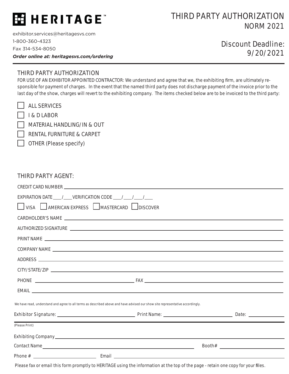## HERITAGE<sup>®</sup>

### THIRD PARTY AUTHORIZATION NORM 2021

exhibitor.services@heritagesvs.com 1-800-360-4323 Fax 314-534-8050

*Order online at: heritagesvs.com/ordering*

### Discount Deadline: 9/20/2021

#### THIRD PARTY AUTHORIZATION

FOR USE OF AN EXHIBITOR APPOINTED CONTRACTOR: We understand and agree that we, the exhibiting firm, are ultimately responsible for payment of charges. In the event that the named third party does not discharge payment of the invoice prior to the last day of the show, charges will revert to the exhibiting company. The items checked below are to be invoiced to the third party:

|  |  | <b>ALL SERVICES</b> |  |
|--|--|---------------------|--|
|--|--|---------------------|--|

I & D LABOR

MATERIAL HANDLING/IN & OUT

RENTAL FURNITURE & CARPET

OTHER (Please specify)

#### THIRD PARTY AGENT:

|                | EXPIRATION DATE ____ /____ VERIFICATION CODE ____ /____ /____ /____                                                               |  |
|----------------|-----------------------------------------------------------------------------------------------------------------------------------|--|
|                | VISA AMERICAN EXPRESS AMASTERCARD DISCOVER                                                                                        |  |
|                |                                                                                                                                   |  |
|                |                                                                                                                                   |  |
|                |                                                                                                                                   |  |
|                |                                                                                                                                   |  |
|                |                                                                                                                                   |  |
|                |                                                                                                                                   |  |
|                |                                                                                                                                   |  |
|                |                                                                                                                                   |  |
|                | We have read, understand and agree to all terms as described above and have advised our show site representative accordingly.     |  |
|                |                                                                                                                                   |  |
| (Please Print) |                                                                                                                                   |  |
|                |                                                                                                                                   |  |
|                |                                                                                                                                   |  |
|                |                                                                                                                                   |  |
|                | Please fax or email this form promptly to HERITAGE using the information at the top of the page - retain one copy for your files. |  |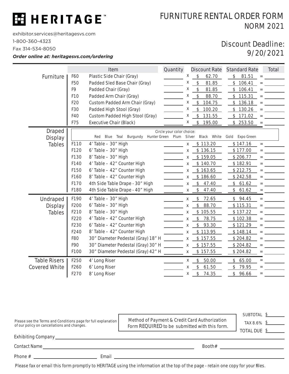## E HERITAGE

### FURNITURE RENTAL ORDER FORM NORM 2021

exhibitor.services@heritagesvs.com

1-800-360-4323

Fax 314-534-8050

*Order online at: heritagesvs.com/ordering*

### Discount Deadline: 9/20/2021

|                      |                 | Item                               | Quantity                  |        | <b>Discount Rate</b>   | <b>Standard Rate</b> |           | Total |
|----------------------|-----------------|------------------------------------|---------------------------|--------|------------------------|----------------------|-----------|-------|
| Furniture            | F60             | Plastic Side Chair (Gray)          |                           | X      | \$<br>62.70            | 81.51<br>\$          | $=$       |       |
|                      | F50             | Padded Sled Base Chair (Gray)      |                           | x      | $\frac{1}{2}$<br>81.85 | \$<br>106.41         | $=$       |       |
|                      | F9              | Padded Chair (Gray)                |                           | X      | \$<br>81.85            | \$106.41             | $=$       |       |
|                      | F <sub>10</sub> | Padded Arm Chair (Gray)            |                           | Х      | \$<br>88.70            | \$115.31             | $=$       |       |
|                      | F <sub>20</sub> | Custom Padded Arm Chair (Gray)     |                           | х      | \$<br>104.75           | \$136.18             | $\quad =$ |       |
|                      | F30             | Padded High Stool (Gray)           |                           | х      | \$<br>100.20           | \$130.26             |           |       |
|                      | F40             | Custom Padded High Stool (Gray)    |                           | х      | \$<br>131.55           | \$171.02             |           |       |
|                      | F75             | <b>Executive Chair (Black)</b>     |                           | х      | \$<br>195.00           | \$253.50             |           |       |
| <b>Draped</b>        |                 |                                    | Circle your color choice: |        |                        |                      |           |       |
| <b>Display</b>       |                 | Red Blue Teal<br>Burgundy          | Hunter Green Plum         | Silver | Black White            | Expo Green<br>Gold   |           |       |
| <b>Tables</b>        | F110            | 4' Table - 30" High                |                           | X      | \$113.20               | \$147.16             | $=$       |       |
|                      | F120            | $6'$ Table $-30''$ High            |                           | X      | \$136.15               | \$177.00             | $=$       |       |
|                      | F130            | 8' Table - 30" High                |                           | X      | \$159.05               | \$206.77             | $=$       |       |
|                      | F140            | 4' Table - 42" Counter High        |                           | X      | \$140.70               | \$182.91             |           |       |
|                      | F150            | 6' Table - 42" Counter High        |                           | X      | \$163.65               | \$212.75             |           |       |
|                      | F160            | 8' Table - 42" Counter High        |                           | X      | \$186.60               | \$242.58             | $=$       |       |
|                      | F170            | 4th Side Table Drape - 30" High    |                           | x      | \$<br>47.40            | 61.62<br>\$          |           |       |
|                      | F180            | 4th Side Table Drape - 40" High    |                           | Χ      | $\frac{1}{2}$<br>47.40 | \$<br>61.62          |           |       |
| Undraped             | F190            | 4' Table - 30" High                |                           | X      | \$<br>72.65            | \$94.45              | $=$       |       |
| <b>Display</b>       | F200            | $6'$ Table $-30''$ High            |                           | X      | \$<br>88.70            | \$115.31             | $=$       |       |
| <b>Tables</b>        | F210            | 8' Table - 30" High                |                           | Χ      | \$105.55               | \$137.22             |           |       |
|                      | F220            | 4' Table - 42" Counter High        |                           | X      | $\frac{1}{2}$<br>78.75 | \$102.38             | $=$       |       |
|                      | F230            | 6' Table - 42" Counter High        |                           | X      | $\frac{1}{2}$<br>93.30 | \$121.29             | $=$       |       |
|                      | F240            | 8' Table - 42" Counter High        |                           | Χ      | \$113.95               | \$148.14             | $=$       |       |
|                      | F80             | 30" Diameter Pedestal (Gray) 18" H |                           | X      | \$157.55               | \$204.82             |           |       |
|                      | F90             | 30" Diameter Pedestal (Gray) 30" H |                           | X      | \$157.55               | \$204.82             | $=$       |       |
|                      | F100            | 30" Diameter Pedestal (Gray) 42" H |                           | X      | \$157.55               | \$204.82             | $=$       |       |
| <b>Table Risers</b>  | F250            | 4' Long Riser                      |                           | Χ      | 50.00<br>$\frac{1}{2}$ | 65.00<br>\$          | $=$       |       |
| <b>Covered White</b> | F260            | 6' Long Riser                      |                           | x      | \$<br>61.50            | \$<br>79.95          | $=$       |       |
|                      | F270            | 8' Long Riser                      |                           | X      | \$<br>74.35            | \$96.66              | $=$       |       |

| Please see the Terms and Conditions page for full explanation<br>of our policy on cancellations and changes. | <b>Method of Payment &amp; Credit Card Authorization</b><br>Form REQUIRED to be submitted with this form. | <b>SUBTOTAL</b><br><b>TAX 8.6%</b><br><b>TOTAL DUE</b> |
|--------------------------------------------------------------------------------------------------------------|-----------------------------------------------------------------------------------------------------------|--------------------------------------------------------|
| Exhibiting Company_                                                                                          |                                                                                                           |                                                        |
| Contact Name                                                                                                 | Booth#                                                                                                    |                                                        |

Phone # Email

Please fax or email this form promptly to HERITAGE using the information at the top of the page - retain one copy for your files.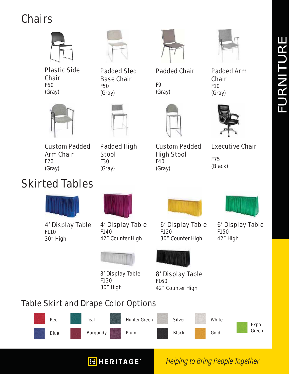## **Chairs**



Plastic Side **Chair** F60 (Gray)



Padded Sled Base Chair

F50 (Gray)

F9 (Gray)

Padded Chair



Padded Arm Chair F10 (Gray)



Custom Padded Arm Chair F20 (Gray)



Padded High Custom Padded High Stool F40 (Gray)

Executive Chair F75

(Black)

**Helping to Bring People Together** 



Stool F30 (Gray)

4' Display Table F110 30" High



4' Display Table F140 42" Counter High



8' Display Table F130 30" High

**H** HERITAGE<sup>®</sup>



6' Display Table F120 30" Counter High



6' Display Table F150 42" High



8' Display Table F160 42" Counter High

## Table Skirt and Drape Color Options

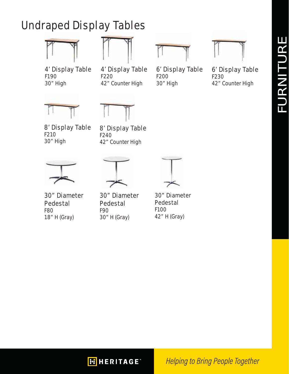## Undraped Display Tables





4' Display Table F190 30" High

4' Display Table F220 42" Counter High



6' Display Table

F200 30" High



6' Display Table F230 42" Counter High





8' Display Table F210 30" High

8' Display Table F240 42" Counter High

30" Diameter Pedestal F80 18" H (Gray)

30" Diameter Pedestal F90 30" H (Gray)

30" Diameter Pedestal F100 42" H (Gray)

**FI HERITAGE** 

**Helping to Bring People Together**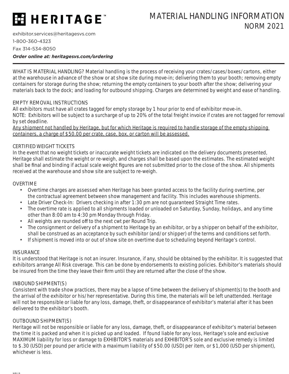## **HERITAGE**

### MATERIAL HANDLING INFORMATION NORM 2021

exhibitor.services@heritagesvs.com 1-800-360-4323 Fax 314-534-8050

*Order online at: heritagesvs.com/ordering*

WHAT IS MATERIAL HANDLING? Material handling is the process of receiving your crates/cases/boxes/cartons, either at the warehouse in advance of the show or at show site during move-in; delivering them to your booth; removing empty containers for storage during the show; returning the empty containers to your booth after the show; delivering your materials back to the dock; and loading for outbound shipping. Charges are determined by weight and ease of handling.

#### EMPTY REMOVAL INSTRUCTIONS

All exhibitors must have all crates tagged for empty storage by 1 hour prior to end of exhibitor move-in. NOTE: Exhibitors will be subject to a surcharge of up to 20% of the total freight invoice if crates are not tagged for removal by set deadline.

Any shipment not handled by Heritage, but for which Heritage is required to handle storage of the empty shipping containers, a charge of \$50.00 per crate, case, box, or carton will be assessed.

#### CERTIFIED WEIGHT TICKETS

In the event that no weight tickets or inaccurate weight tickets are indicated on the delivery documents presented, Heritage shall estimate the weight or re-weigh, and charges shall be based upon the estimates. The estimated weight shall be final and binding if actual scale weight figures are not submitted prior to the close of the show. All shipments received at the warehouse and show site are subject to re-weigh.

#### OVERTIME

- Overtime charges are assessed when Heritage has been granted access to the facility during overtime, per the contractual agreement between show management and facility. This includes warehouse shipments.
- Late Driver Check-In: Drivers checking in after 1:30 pm are not guaranteed Straight Time rates.
- The overtime rate is applied to all shipments loaded or unloaded on Saturday, Sunday, holidays, and any time other than 8:00 am to 4:30 pm Monday through Friday.
- All weights are rounded off to the next cwt per Round Trip.
- The consignment or delivery of a shipment to Heritage by an exhibitor, or by a shipper on behalf of the exhibitor, shall be construed as an acceptance by such exhibitor (and/or shipper) of the terms and conditions set forth.
- If shipment is moved into or out of show site on overtime due to scheduling beyond Heritage's control.

#### **INSURANCE**

It is understood that Heritage is not an insurer. Insurance, if any, should be obtained by the exhibitor. It is suggested that exhibitors arrange All Risk coverage. This can be done by endorsements to existing policies. Exhibitor's materials should be insured from the time they leave their firm until they are returned after the close of the show.

#### INBOUND SHIPMENT(S)

Consistent with trade show practices, there may be a lapse of time between the delivery of shipment(s) to the booth and the arrival of the exhibitor or his/her representative. During this time, the materials will be left unattended. Heritage will not be responsible or liable for any loss, damage, theft, or disappearance of exhibitor's material after it has been delivered to the exhibitor's booth.

#### OUTBOUND SHIPMENT(S)

Heritage will not be responsible or liable for any loss, damage, theft, or disappearance of exhibitor's material between the time it is packed and when it is picked up and loaded. If found liable for any loss, Heritage's sole and exclusive MAXIMUM liability for loss or damage to EXHIBITOR'S materials and EXHIBITOR'S sole and exclusive remedy is limited to \$.30 (USD) per pound per article with a maximum liability of \$50.00 (USD) per item, or \$1,000 (USD per shipment), whichever is less.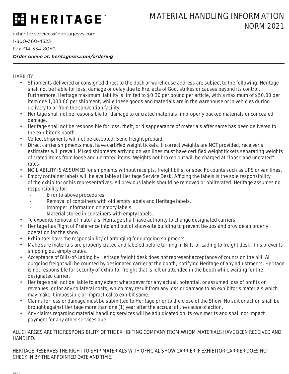## **ESHERITAGE**

### MATERIAL HANDLING INFORMATION NORM 2021

exhibitor.services@heritagesvs.com 1-800-360-4323 Fax 314-534-8050

*Order online at: heritagesvs.com/ordering*

#### LIABILITY

- Shipments delivered or consigned direct to the dock or warehouse address are subject to the following: Heritage shall not be liable for loss, damage or delay due to fire, acts of God, strikes or causes beyond its control. Furthermore, Heritage maximum liability is limited to \$0.30 per pound per article, with a maximum of \$50.00 per item or \$1,000.00 per shipment, while these goods and materials are in the warehouse or in vehicles during delivery to or from the convention facility.
- Heritage shall not be responsible for damage to uncrated materials, improperly packed materials or concealed damage.
- Heritage shall not be responsible for loss, theft, or disappearance of materials after same has been delivered to the exhibitor's booth.
- Collect shipments will not be accepted. Send freight prepaid.
- Direct carrier shipments must have certified weight tickets. If correct weights are NOT provided, receiver's estimates will prevail. Mixed shipments arriving on van lines must have certified weight tickets separating weights of crated items from loose and uncrated items. Weights not broken out will be charged at "loose and uncrated" rates.
- NO LIABILITY IS ASSUMED for shipments without receipts, freight bills, or specific counts such as UPS or van lines.
- Empty container labels will be available at Heritage Service Desk. Affixing the labels is the sole responsibility of the exhibitor or his representatives. All previous labels should be removed or obliterated. Heritage assumes no responsibility for:
	- Error to above procedures.
	- Removal of containers with old empty labels and Heritage labels.
	- Improper information on empty labels.
	- Material stored in containers with empty labels.
- To expedite removal of materials, Heritage shall have authority to change designated carriers.
- Heritage has Right of Preference into and out of show-site building to prevent tie-ups and provide an orderly operation for the show.
- Exhibitors have the responsibility of arranging for outgoing shipments.
- Make sure materials are properly crated and labeled before turning in Bills-of-Lading to freight desk. This prevents shipping out empty crates.
- Acceptance of Bills-of-Lading by Heritage freight desk does not represent acceptance of counts on the bill. All outgoing freight will be counted by designated carrier at the booth, notifying Heritage of any adjustments. Heritage is not responsible for security of exhibitor freight that is left unattended in the booth while waiting for the designated carrier.
- Heritage shall not be liable to any extent whatsoever for any actual, potential, or assumed loss of profits or revenues, or for any collateral costs, which may result from any loss or damage to an exhibitor's materials which may make it impossible or impractical to exhibit same.
- Claims for loss or damage must be submitted to Heritage prior to the close of the Show. No suit or action shall be brought against Heritage more than one (1) year after the accrual of the cause of action.
- Any claims regarding material handling services will be adjudicated on its own merits and shall not impact payment for any other services due.

ALL CHARGES ARE THE RESPONSIBILITY OF THE EXHIBITING COMPANY FROM WHOM MATERIALS HAVE BEEN RECEIVED AND HANDLED.

HERITAGE RESERVES THE RIGHT TO SHIP MATERIALS WITH OFFICIAL SHOW CARRIER IF EXHIBITOR CARRIER DOES NOT CHECK IN BY THE APPOINTED DATE AND TIME.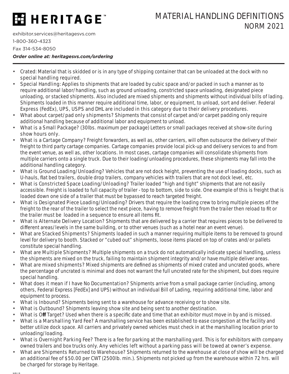## **ESHERITAGE**

exhibitor.services@heritagesvs.com 1-800-360-4323

Fax 314-534-8050

*Order online at: heritagesvs.com/ordering*

- Crated: Material that is skidded or is in any type of shipping container that can be unloaded at the dock with no special handling required.
- Special Handling: Applies to shipments that are loaded by cubic space and/or packed in such a manner as to require additional labor/handling, such as ground unloading, constricted space unloading, designated piece unloading, or stacked shipments. Also included are mixed shipments and shipments without individual bills of lading. Shipments loaded in this manner require additional time, labor, or equipment, to unload, sort and deliver. Federal Express (FedEx), UPS, USPS and DHL are included in this category due to their delivery procedures.
- What about carpet/pad only shipments? Shipments that consist of carpet and/or carpet padding only require additional handling because of additional labor and equipment to unload.
- What is a Small Package? (30lbs. maximum per package) Letters or small packages received at show-site during show hours only.
- What is a Cartage Company? Freight forwarders, as well as, other carriers, will often outsource the delivery of their freight to third party cartage companies. Cartage companies provide local pick-up and delivery services to and from the event venue, as well as, other locations. In most cases, cartage companies will consolidate shipments from multiple carriers onto a single truck. Due to their loading/unloading procedures, these shipments may fall into the additional handling category.
- What is Ground Loading/Unloading? Vehicles that are not dock height, preventing the use of loading docks, such as U-hauls, flat bed trailers, double drop trailers, company vehicles with trailers that are not dock level, etc.
- What is Constricted Space Loading/Unloading? Trailer loaded "high and tight" shipments that are not easily accessible. Freight is loaded to full capacity of trailer - top to bottom, side to side. One example of this is freight that is loaded down one side of a trailer that must be bypassed to reach targeted freight.
- What is Designated Piece Loading/Unloading? Drivers that require the loading crew to bring multiple pieces of the freight to the rear of the trailer to select the next piece, having to remove freight from the trailer then reload to fit or the trailer must be loaded in a sequence to ensure all items fit.
- What is Alternate Delivery Location? Shipments that are delivered by a carrier that requires pieces to be delivered to different areas/levels in the same building, or to other venues (such as a hotel near an event venue).
- What are Stacked Shipments? Shipments loaded in such a manner requiring multiple items to be removed to ground level for delivery to booth. Stacked or "cubed out" shipments, loose items placed on top of crates and/or pallets constitute special handling.
- What are Multiple Shipments? Multiple shipments on a truck do not automatically indicate special handling, unless the shipments are mixed on the truck, failing to maintain shipment integrity and/or have multiple deliver areas.
- What are mixed shipments? Mixed shipments are defined as shipments of mixed crated and uncrated goods, where the percentage of uncrated is minimal and does not warrant the full uncrated rate for the shipment, but does require special handling.
- What does it mean if I have No Documentation? Shipments arrive from a small package carrier (including, among others, Federal Express [FedEx] and UPS) without an individual Bill of Lading, requiring additional time, labor and equipment to process.
- What is Inbound? Shipments being sent to a warehouse for advance receiving or to show site.
- What is Outbound? Shipments leaving show site and being sent to another destination.
- What is Off Target? Used when there is a specific date and time that an exhibitor must move in by and is missed.
- What is a Marshalling Yard Fee? A marshalling service has been established to ease congestion at the facility and better utilize dock space. All carriers and privately owned vehicles must check in at the marshalling location prior to unloading/loading.
- What is Overnight Parking Fee? There is a fee for parking at the marshalling yard. This is for exhibitors with company owned trailers and box trucks only. Any vehicles left without a parking pass will be towed at owner's expense.
- What are Shipments Returned to Warehouse? Shipments returned to the warehouse at close of show will be charged an additional fee of \$50.00 per CWT (2500lb. min.). Shipments not picked up from the warehouse within 72 hrs. will be charged for storage by Heritage.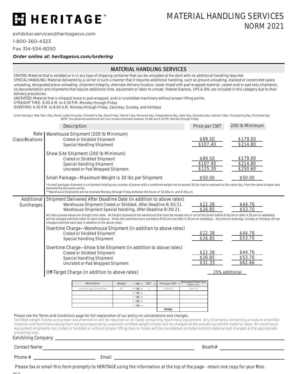## E HERITAGE

exhibitor.services@heritagesvs.com

1-800-360-4323

Fax 314-534-8050

#### *Order online at: heritagesvs.com/ordering*

#### **MATERIAL HANDLING SERVICES**

CRATED: Material that is skidded or is in any type of shipping container that can be unloaded at the dock with no additional handling required. SPECIAL HANDLING: Material delivered by a carrier in such a manner that it requires additional handling, such as ground unloading, stacked or constricted space unloading, designated piece unloading, shipment integrity, alternate delivery location, loads mixed with pad wrapped material, carpet and/or pad only shipments, no documentation and shipments that require additional time, equipment or labor to unload. Federal Express, UPS & DHL are included in this category due to their delivery procedures.

UNCRATED: Material that is shipped loose or pad-wrapped, and/or unskidded machinery without proper lifting points.

STRAIGHT TIME: 8:00 A.M. to 4:30 P.M. Monday through Friday

OVERTIME: 4:30 P.M. to 8:00 A.M. Monday through Friday, Saturday, Sunday, and Holidays

Union Holidays: New Year's Day, Martin Luther King Day, President's Day, Good Friday, Patriot's Day, Memorial Day, Independence Day, Labor Day, Columbus Day, Veteran's Day, Thanksgiving Day, Christmas Day NOTE: The advanced warehouse will only receive shipments between 10 AM and 4:30 PM, Monday through Friday

|                                                                                                                                                                                                                                                                                                                                                                                                                                                                                                                                                                                                                                                           | Description                                                                                                                                                                                                                                                                                                                                                                                                                                                                                                                                                                                                        |        |                              |              |               |  | Price per CWT                                |        | 200 lb Minimum                   |  |
|-----------------------------------------------------------------------------------------------------------------------------------------------------------------------------------------------------------------------------------------------------------------------------------------------------------------------------------------------------------------------------------------------------------------------------------------------------------------------------------------------------------------------------------------------------------------------------------------------------------------------------------------------------------|--------------------------------------------------------------------------------------------------------------------------------------------------------------------------------------------------------------------------------------------------------------------------------------------------------------------------------------------------------------------------------------------------------------------------------------------------------------------------------------------------------------------------------------------------------------------------------------------------------------------|--------|------------------------------|--------------|---------------|--|----------------------------------------------|--------|----------------------------------|--|
| Rate  <br>Classifications                                                                                                                                                                                                                                                                                                                                                                                                                                                                                                                                                                                                                                 | Warehouse Shipment (200 lb Minimum)<br><b>Crated or Skidded Shipment</b><br><b>Special Handling Shipment</b>                                                                                                                                                                                                                                                                                                                                                                                                                                                                                                       |        |                              |              |               |  | \$89.50<br>\$107.40                          |        | \$179.00<br>\$214.80             |  |
|                                                                                                                                                                                                                                                                                                                                                                                                                                                                                                                                                                                                                                                           | Show Site Shipment (200 lb Minimum)<br><b>Crated or Skidded Shipment</b><br><b>Special Handling Shipment</b><br>Uncrated or Pad Wrapped Shipment                                                                                                                                                                                                                                                                                                                                                                                                                                                                   |        |                              |              |               |  | \$89.50<br>\$107.40<br>\$125.30              |        | \$179.00<br>\$214.80<br>\$250.60 |  |
|                                                                                                                                                                                                                                                                                                                                                                                                                                                                                                                                                                                                                                                           | Small Package-Maximum Weight is 30 lbs per Shipment                                                                                                                                                                                                                                                                                                                                                                                                                                                                                                                                                                |        |                              |              |               |  | \$50.00                                      |        | \$50.00                          |  |
|                                                                                                                                                                                                                                                                                                                                                                                                                                                                                                                                                                                                                                                           | *A small package shipment is a shipment totaling any number of pieces with a combined weight not to exceed 30 lbs that is received on the same day, from the same shipper and<br>delivered by the same carrier.<br>**Warehouse Shipments will be received Monday through Friday between the hours of 10:00a.m. and 4:00 p.m.                                                                                                                                                                                                                                                                                       |        |                              |              |               |  |                                              |        |                                  |  |
| Additional<br>Surcharges                                                                                                                                                                                                                                                                                                                                                                                                                                                                                                                                                                                                                                  | Shipment Delivered After Deadline Date (in addition to above rates)<br>Warehouse Shipment Crated or Skidded, After Deadline 9/30/21.<br>\$22.38<br>\$44.76<br>\$26.85<br>\$53.70<br>Warehouse Shipment Special Handling, After Deadline 9/30/21.<br>All rates quoted above are straight time rates. All freight received at the warehouse that must be moved into or out of the booth before 8:00 am or after 4:30 pm on weekdays<br>will be charged overtime rates for each instance. Show site overtime hours are before 8:00 am and after 4:30 pm on weekdays. Any time on Saturday, Sunday or holidays will be |        |                              |              |               |  |                                              |        |                                  |  |
|                                                                                                                                                                                                                                                                                                                                                                                                                                                                                                                                                                                                                                                           | charged overtime each way in addition to the above rates.<br>Overtime Charge-Warehouse Shipment (in addition to above rates)<br>\$22.38<br>\$44.76<br><b>Crated or Skidded Shipment</b><br>\$53.70<br>\$26.85<br><b>Special Handling Shipment</b>                                                                                                                                                                                                                                                                                                                                                                  |        |                              |              |               |  |                                              |        |                                  |  |
|                                                                                                                                                                                                                                                                                                                                                                                                                                                                                                                                                                                                                                                           | Overtime Charge-Show Site Shipment (in addition to above rates)<br><b>Crated or Skidded Shipment</b><br><b>Special Handling Shipment</b><br>Uncrated or Pad Wrapped Shipment                                                                                                                                                                                                                                                                                                                                                                                                                                       |        |                              |              |               |  | \$22.38<br>\$26.85<br>\$31.33                |        | \$44.76<br>\$53.70<br>\$62.66    |  |
|                                                                                                                                                                                                                                                                                                                                                                                                                                                                                                                                                                                                                                                           | Off-Target Charge (in addition to above rates)                                                                                                                                                                                                                                                                                                                                                                                                                                                                                                                                                                     |        |                              |              |               |  |                                              |        | 25% additional                   |  |
|                                                                                                                                                                                                                                                                                                                                                                                                                                                                                                                                                                                                                                                           | <b>Description</b>                                                                                                                                                                                                                                                                                                                                                                                                                                                                                                                                                                                                 | Weight | $\div$ 100 =                 | $CWT \times$ | Price per CWT |  | <b>Estimated Total Cost</b><br>(200 lb. min) |        |                                  |  |
|                                                                                                                                                                                                                                                                                                                                                                                                                                                                                                                                                                                                                                                           | example: Special Handling                                                                                                                                                                                                                                                                                                                                                                                                                                                                                                                                                                                          | 467    | $\div$ 100 $=$               | 5            | \$168.90      |  | \$844.50                                     |        |                                  |  |
|                                                                                                                                                                                                                                                                                                                                                                                                                                                                                                                                                                                                                                                           |                                                                                                                                                                                                                                                                                                                                                                                                                                                                                                                                                                                                                    |        | $\div$ 100 =<br>$\div$ 100 = |              |               |  |                                              |        |                                  |  |
|                                                                                                                                                                                                                                                                                                                                                                                                                                                                                                                                                                                                                                                           |                                                                                                                                                                                                                                                                                                                                                                                                                                                                                                                                                                                                                    |        | $\div$ 100 $\pm$             |              |               |  |                                              |        |                                  |  |
|                                                                                                                                                                                                                                                                                                                                                                                                                                                                                                                                                                                                                                                           |                                                                                                                                                                                                                                                                                                                                                                                                                                                                                                                                                                                                                    |        | $\div$ 100 =                 |              |               |  |                                              |        |                                  |  |
|                                                                                                                                                                                                                                                                                                                                                                                                                                                                                                                                                                                                                                                           |                                                                                                                                                                                                                                                                                                                                                                                                                                                                                                                                                                                                                    |        |                              |              | <b>TOTAL</b>  |  |                                              |        |                                  |  |
| Please see the Terms and Conditions page for full explanation of our policy on cancellations and changes.<br>Certified weight tickets and proper documentation will be required on all loads containing machinery/equipment. Any shipments containing a mixture of exhibit<br>material and machinery/equipment not accompanied by separate certified weight tickets will be charged at the prevailing exhibit material rates. All machinery/<br>equipment shipments not crated or skidded or without proper lifting bars or hooks will be considered uncrated exhibit material and charged at the appropriate<br>prevailing rate.<br>Exhibiting Company _ |                                                                                                                                                                                                                                                                                                                                                                                                                                                                                                                                                                                                                    |        |                              |              |               |  |                                              |        |                                  |  |
| <b>Contact Name</b>                                                                                                                                                                                                                                                                                                                                                                                                                                                                                                                                                                                                                                       | <u> 1980 - Johann Stein, marwolaethau (b. 1980)</u>                                                                                                                                                                                                                                                                                                                                                                                                                                                                                                                                                                |        |                              |              |               |  |                                              | Booth# |                                  |  |
| Phone $#$                                                                                                                                                                                                                                                                                                                                                                                                                                                                                                                                                                                                                                                 |                                                                                                                                                                                                                                                                                                                                                                                                                                                                                                                                                                                                                    | Email  |                              |              |               |  |                                              |        |                                  |  |

Please fax or email this form promptly to HERITAGE using the information at the top of the page - retain one copy for your files.

NBLR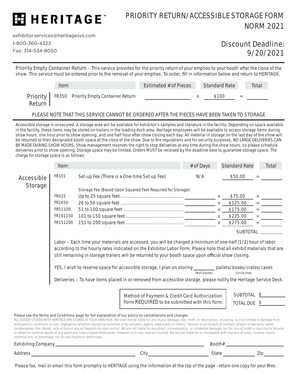

### PRIORITY RETURN/ACCESSIBLE STORAGE FORM NORM 2021

exhibitor.services@heritagesvs.com 1-800-360-4323

commissions, or brokerage, nor for any freight or demurrage.

Fax: 314-534-8050

### Discount Deadline: 9/20/2021

Priority Empty Container Return – This service provides for the priority return of your empties to your booth after the close of the show. This service must be ordered prior to the removal of your empties. To order, fill in information below and return to HERITAGE.

|          | Item |                                                       | Estimated # of Pieces | <b>Standard Rate</b> | Total |
|----------|------|-------------------------------------------------------|-----------------------|----------------------|-------|
| Return I |      | <b>Priority</b> FR350 Priority Empty Container Return |                       | \$100                |       |

#### PLEASE NOTE THAT THIS SERVICE CANNOT BE ORDERED AFTER THE PIECES HAVE BEEN TAKEN TO STORAGE

Accessible storage is unsecured. A storage area will be available for exhibitor's samples and literature in the facility. Depending on space available in the facility, these items may be stored on trailers in the loading dock area. Heritage employees will be available to access storage items during show hours, one hour prior to show opening, and one half hour after show closing each day. All material in storage on the last day of the show will be returned to their designated booth space at the close of the show. Due to fire regulations and for security purposes, NO LARGE DELIVERIES CAN BE MADE DURING SHOW HOURS. Show management reserves the right to stop deliveries at any time during the show hours, so please schedule deliveries prior to show opening. Storage space may be limited. Orders MUST be received by the deadline date to guarantee storage space. The charge for storage space is as follows:

|                | Item                                                                                                                                                                                                                                                                                                                                                                                                                                                                                                                                                                                                               |                                                                                                                                                                                                                                                                                                                                                                                                                                                                                                                                                                                                                                                                                                                                                                                                                                                                                      |                                                                                                | # of Days | <b>Standard Rate</b>     | Total                        |  |
|----------------|--------------------------------------------------------------------------------------------------------------------------------------------------------------------------------------------------------------------------------------------------------------------------------------------------------------------------------------------------------------------------------------------------------------------------------------------------------------------------------------------------------------------------------------------------------------------------------------------------------------------|--------------------------------------------------------------------------------------------------------------------------------------------------------------------------------------------------------------------------------------------------------------------------------------------------------------------------------------------------------------------------------------------------------------------------------------------------------------------------------------------------------------------------------------------------------------------------------------------------------------------------------------------------------------------------------------------------------------------------------------------------------------------------------------------------------------------------------------------------------------------------------------|------------------------------------------------------------------------------------------------|-----------|--------------------------|------------------------------|--|
| Accessible     | FR101                                                                                                                                                                                                                                                                                                                                                                                                                                                                                                                                                                                                              | Set-up Fee (There is a One-time Set-up Fee)                                                                                                                                                                                                                                                                                                                                                                                                                                                                                                                                                                                                                                                                                                                                                                                                                                          |                                                                                                | N/A       | \$50.00                  |                              |  |
| <b>Storage</b> |                                                                                                                                                                                                                                                                                                                                                                                                                                                                                                                                                                                                                    | Storage Fee (Based Upon Squared Feet Required for Storage):                                                                                                                                                                                                                                                                                                                                                                                                                                                                                                                                                                                                                                                                                                                                                                                                                          |                                                                                                |           |                          |                              |  |
|                | <b>FR025</b>                                                                                                                                                                                                                                                                                                                                                                                                                                                                                                                                                                                                       |                                                                                                                                                                                                                                                                                                                                                                                                                                                                                                                                                                                                                                                                                                                                                                                                                                                                                      |                                                                                                |           | \$75.00                  |                              |  |
|                | FR2650                                                                                                                                                                                                                                                                                                                                                                                                                                                                                                                                                                                                             |                                                                                                                                                                                                                                                                                                                                                                                                                                                                                                                                                                                                                                                                                                                                                                                                                                                                                      |                                                                                                |           | \$125.00<br>$\mathsf{X}$ | $\equiv$ 100 $\pm$ 100 $\pm$ |  |
|                | FR51100                                                                                                                                                                                                                                                                                                                                                                                                                                                                                                                                                                                                            |                                                                                                                                                                                                                                                                                                                                                                                                                                                                                                                                                                                                                                                                                                                                                                                                                                                                                      |                                                                                                |           | \$175.00<br>X            |                              |  |
|                | FR101150                                                                                                                                                                                                                                                                                                                                                                                                                                                                                                                                                                                                           |                                                                                                                                                                                                                                                                                                                                                                                                                                                                                                                                                                                                                                                                                                                                                                                                                                                                                      |                                                                                                |           | \$225.00<br>$\mathsf{X}$ |                              |  |
|                | FR151200                                                                                                                                                                                                                                                                                                                                                                                                                                                                                                                                                                                                           |                                                                                                                                                                                                                                                                                                                                                                                                                                                                                                                                                                                                                                                                                                                                                                                                                                                                                      |                                                                                                |           | \$275.00<br>$\mathsf{X}$ |                              |  |
|                |                                                                                                                                                                                                                                                                                                                                                                                                                                                                                                                                                                                                                    |                                                                                                                                                                                                                                                                                                                                                                                                                                                                                                                                                                                                                                                                                                                                                                                                                                                                                      |                                                                                                |           | <b>SUBTOTAL</b>          |                              |  |
|                | Labor – Each time your materials are accessed, you will be charged a minimum of one-half (1/2) hour of labor<br>according to the hourly rates indicated on the Exhibitor Labor Form. Please note that all exhibit materials that are<br>still remaining in storage trailers will be returned to your booth space upon official show closing.<br>YES, I wish to reserve space for accessible storage, I plan on storing _________ pallets/boxes/crates/cases<br>$#$ of pieces)<br>(circle one)<br>Deliveries - To have items placed in or removed from accessible storage, please notify the Heritage Service Desk. |                                                                                                                                                                                                                                                                                                                                                                                                                                                                                                                                                                                                                                                                                                                                                                                                                                                                                      |                                                                                                |           |                          |                              |  |
|                |                                                                                                                                                                                                                                                                                                                                                                                                                                                                                                                                                                                                                    |                                                                                                                                                                                                                                                                                                                                                                                                                                                                                                                                                                                                                                                                                                                                                                                                                                                                                      |                                                                                                |           | <b>SUBTOTAL \$</b>       |                              |  |
|                |                                                                                                                                                                                                                                                                                                                                                                                                                                                                                                                                                                                                                    |                                                                                                                                                                                                                                                                                                                                                                                                                                                                                                                                                                                                                                                                                                                                                                                                                                                                                      | Method of Payment & Credit Card Authorization<br>Form REQUIRED to be submitted with this form. |           | <b>TOTAL DUE \$</b>      |                              |  |
|                |                                                                                                                                                                                                                                                                                                                                                                                                                                                                                                                                                                                                                    |                                                                                                                                                                                                                                                                                                                                                                                                                                                                                                                                                                                                                                                                                                                                                                                                                                                                                      |                                                                                                |           |                          |                              |  |
|                |                                                                                                                                                                                                                                                                                                                                                                                                                                                                                                                                                                                                                    | Please see the Terms and Conditions page for full explanation of our policy on cancellations and changes.<br>ALL GOODS STORED WITH HERITAGE ARE STORED AT YOUR OWN RISK. We shall not be liable for any injury, damage, loss, theft, or destruction, including, but not limited to damage from<br>atmospheric conditions or rust, negligence (whether caused by ourselves or by servants, agents, employees or others), failures to act breach of contract, breach of warranty, water<br>condensation, fire, floods, acts of God or any act beyond our sole control. We are not liable for any direct, consequential, or incidental damages nor for loss of profit or loss due to failures<br>to obtain or turnover goods at any particular time or place whatsoever, however such loss may be incurred. We are not liable for or chargeable with any loss of sales, income, resale, |                                                                                                |           |                          |                              |  |

| Exhibiting<br>Company<br>ັ |  |      | Booth# |       |  |           |
|----------------------------|--|------|--------|-------|--|-----------|
| Address                    |  | City |        | state |  | -.<br>Zır |

Please fax, mail or email this form promptly to HERITAGE using the information at the top of the page - retain one copy for your files.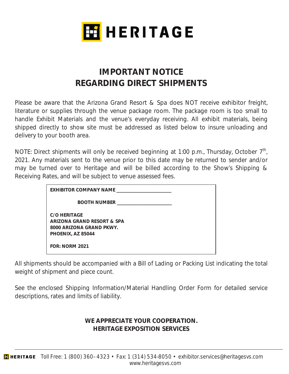

## **IMPORTANT NOTICE REGARDING DIRECT SHIPMENTS**

Please be aware that the Arizona Grand Resort & Spa does NOT receive exhibitor freight, literature or supplies through the venue package room. The package room is too small to handle Exhibit Materials and the venue's everyday receiving. All exhibit materials, being shipped directly to show site must be addressed as listed below to insure unloading and delivery to your booth area.

NOTE: Direct shipments will only be received beginning at 1:00 p.m., Thursday, October  $7<sup>th</sup>$ , 2021. Any materials sent to the venue prior to this date may be returned to sender and/or may be turned over to Heritage and will be billed according to the Show's Shipping & Receiving Rates, and will be subject to venue assessed fees.

| EXHIBITOR COMPANY NAME                                                                             |  |
|----------------------------------------------------------------------------------------------------|--|
| <b>BOOTH NUMBER</b>                                                                                |  |
| <b>C/O HERITAGE</b><br>ARIZONA GRAND RESORT & SPA<br>8000 ARIZONA GRAND PKWY.<br>PHOENIX, AZ 85044 |  |
| <b>FOR: NORM 2021</b>                                                                              |  |

All shipments should be accompanied with a Bill of Lading or Packing List indicating the total weight of shipment and piece count.

See the enclosed Shipping Information/Material Handling Order Form for detailed service descriptions, rates and limits of liability.

#### **WE APPRECIATE YOUR COOPERATION. HERITAGE EXPOSITION SERVICES**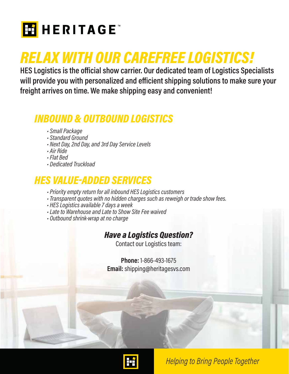

## **RELAX WITH OUR CAREFREE LOGISTICS!**

**RES Logistics is the official show carrier. Our dedicated team of Logistics Specialists** will provide you with personalized and efficient shipping solutions to make sure your **freight arrives on time. We make shipping easy and convenient!**

## **INBOUND & OUTBOUND LOGISTICS** *INBOUND & OUTBOUND LOGISTICS • Small Package*

- 
- *Standard Ground*
- *Next Day, 2nd Day, and 3rd Day Service Levels*
- *Air Ride*
- *Flat Bed*
- *Dedicated Truckload*

- *HES VALUE-ADDED SERVICES Priority empty return for all inbound HES Logistics customers*
	- *Transparent quotes with no hidden charges such as reweigh or trade show fees.*
	- *HES Logistics available 7 days a week*
	- *Late to Warehouse and Late to Show Site Fee waived*
	- *Outbound shrink-wrap at no charge*

## *Have a Logistics Question?*

Contact our Logistics team:

**Phone:** 1-866-493-1675 **Email:** shipping@heritagesvs.com



**Helping to Bring People Together**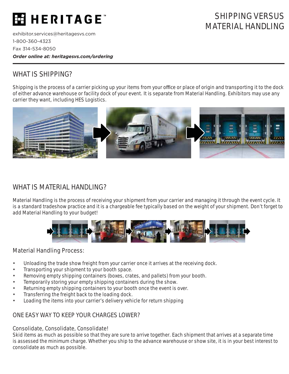## **H** HERITAGE"

exhibitor.services@heritagesvs.com 1-800-360-4323 Fax 314-534-8050 *Order online at: heritagesvs.com/ordering*

## SHIPPING VERSUS MATERIAL HANDLING

### WHAT IS SHIPPING?

Shipping is the process of a carrier picking up your items from your office or place of origin and transporting it to the dock of either advance warehouse or facility dock of your event. It is separate from Material Handling. Exhibitors may use any carrier they want, including HES Logistics.



### WHAT IS MATERIAL HANDLING?

Material Handling is the process of receiving your shipment from your carrier and managing it through the event cycle. It is a standard tradeshow practice and it is a chargeable fee typically based on the weight of your shipment. Don't forget to add Material Handling to your budget!



#### Material Handling Process:

- Unloading the trade show freight from your carrier once it arrives at the receiving dock.
- Transporting your shipment to your booth space.
- Removing empty shipping containers (boxes, crates, and pallets) from your booth.
- Temporarily storing your empty shipping containers during the show.
- Returning empty shipping containers to your booth once the event is over.
- Transferring the freight back to the loading dock.
- Loading the items into your carrier's delivery vehicle for return shipping

### ONE EASY WAY TO KEEP YOUR CHARGES LOWER?

#### Consolidate, Consolidate, Consolidate!

Skid items as much as possible so that they are sure to arrive together. Each shipment that arrives at a separate time is assessed the minimum charge. Whether you ship to the advance warehouse or show site, it is in your best interest to consolidate as much as possible.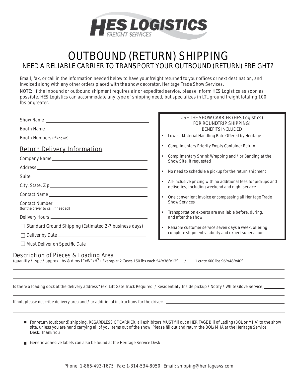

## OUTBOUND (RETURN) SHIPPING NEED A RELIABLE CARRIER TO TRANSPORT YOUR OUTBOUND (RETURN) FREIGHT?

Email, fax, or call in the information needed below to have your freight returned to your offices or next destination, and invoiced along with any other orders placed with the show decorator, Heritage Trade Show Services.

NOTE: If the inbound or outbound shipment requires air or expedited service, please inform HES Logistics as soon as possible. HES Logistics can accommodate any type of shipping need, but specializes in LTL ground freight totaling 100 lbs or greater.

|                                                                                                                                                                            | USE THE SHOW CARRIER (HES Logistics)<br><b>FOR ROUNDTRIP SHIPPING!</b>                                           |
|----------------------------------------------------------------------------------------------------------------------------------------------------------------------------|------------------------------------------------------------------------------------------------------------------|
|                                                                                                                                                                            | <b>BENEFITS INCLUDED</b>                                                                                         |
|                                                                                                                                                                            | Lowest Material Handling Rate Offered by Heritage                                                                |
| <b>Return Delivery Information</b>                                                                                                                                         | Complimentary Priority Empty Container Return                                                                    |
|                                                                                                                                                                            | Complimentary Shrink Wrapping and / or Banding at the<br>Show Site, if requested                                 |
|                                                                                                                                                                            | No need to schedule a pickup for the return shipment                                                             |
|                                                                                                                                                                            |                                                                                                                  |
|                                                                                                                                                                            | All-inclusive pricing with no additional fees for pickups and<br>deliveries, including weekend and night service |
|                                                                                                                                                                            | • One convenient invoice encompassing all Heritage Trade                                                         |
|                                                                                                                                                                            | <b>Show Services</b>                                                                                             |
| (for the driver to call if needed)                                                                                                                                         | Transportation experts are available before, during,                                                             |
|                                                                                                                                                                            | and after the show                                                                                               |
| $\Box$ Standard Ground Shipping (Estimated 2-7 business days)                                                                                                              | Reliable customer service seven days a week, offering                                                            |
| П                                                                                                                                                                          | complete shipment visibility and expert supervision                                                              |
|                                                                                                                                                                            |                                                                                                                  |
| <b>Description of Pieces &amp; Loading Area</b><br>(quantity / type / approx. lbs & dims L"xW"xH") Example: 2 Cases 150 lbs each 54"x36"x12" / 1 crate 600 lbs 96"x48"x40" |                                                                                                                  |

Is there a loading dock at the delivery address? (ex. Lift Gate Truck Required / Residential / Inside pickup / Notify / White Glove Service)

If not, please describe delivery area and / or additional instructions for the driver:

- For return (outbound) shipping, REGARDLESS OF CARRIER, all exhibitors MUST fill out a HERITAGE Bill of Lading (BOL or MHA) to the show site, unless you are hand carrying all of you items out of the show. Please fill out and return the BOL/MHA at the Heritage Service Desk. Thank You
- Generic adhesive labels can also be found at the Heritage Service Desk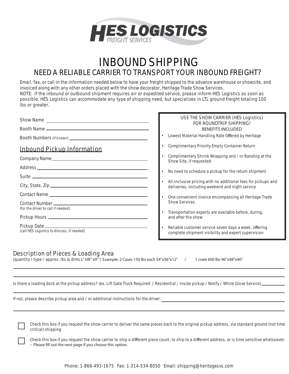

## INBOUND SHIPPING NEED A RELIABLE CARRIER TO TRANSPORT YOUR INBOUND FREIGHT?

Email, fax, or call in the information needed below to have your freight shipped to the advance warehouse or showsite, and invoiced along with any other orders placed with the show decorator, Heritage Trade Show Services. NOTE: If the inbound or outbound shipment requires air or expedited service, please inform HES Logistics as soon as possible. HES Logistics can accommodate any type of shipping need, but specializes in LTL ground freight totaling 100 lbs or greater.

|                                            | <b>USE THE SHOW CARRIER (HES Logistics)</b><br><b>FOR ROUNDTRIP SHIPPING!</b>                                    |
|--------------------------------------------|------------------------------------------------------------------------------------------------------------------|
|                                            | <b>BENEFITS INCLUDED</b>                                                                                         |
|                                            | Lowest Material Handling Rate Offered by Heritage                                                                |
| <b>Inbound Pickup Information</b>          | <b>Complimentary Priority Empty Container Return</b>                                                             |
|                                            | Complimentary Shrink Wrapping and / or Banding at the<br>Show Site, if requested                                 |
|                                            | No need to schedule a pickup for the return shipment                                                             |
|                                            |                                                                                                                  |
|                                            | All-inclusive pricing with no additional fees for pickups and<br>deliveries, including weekend and night service |
|                                            | One convenient invoice encompassing all Heritage Trade                                                           |
|                                            | <b>Show Services</b>                                                                                             |
| (for the driver to call if needed)         | Transportation experts are available before, during,                                                             |
|                                            | and after the show                                                                                               |
| (call HES Logistics to discuss, if needed) | Reliable customer service seven days a week, offering<br>complete shipment visibility and expert supervision     |

#### Description of Pieces & Loading Area

(quantity / type / approx. lbs & dims L"xW"xH") Example: 2 Cases 150 lbs each 54"x36"x12" / 1 crate 600 lbs 96"x48"x40"

Is there a loading dock at the pickup address? (ex. Lift Gate Truck Required / Residential / Inside pickup / Notify / White Glove Service) \_

If not, please describe pickup area and / or additional instructions for the driver:

 Check this box if you request the show carrier to deliver the same pieces back to the original pickup address, via standard ground (not time critical) shipping

Check this box if you request the show carrier to ship a different piece count, to ship to a different address, or is time sensitive whatsoever. -- Please fill out the next page if you choose this option.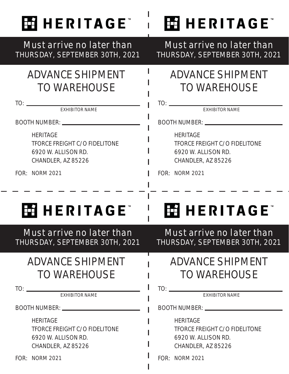

## Must arrive no later than THURSDAY, SEPTEMBER 30TH, 2021

## ADVANCE SHIPMENT TO WAREHOUSE

TO:

EXHIBITOR NAME

BOOTH NUMBER:

**HERITAGE** TFORCE FREIGHT C/O FIDELITONE 6920 W. ALLISON RD. CHANDLER, AZ 85226

FOR: **NORM 2021** 

## Must arrive no later than THURSDAY, SEPTEMBER 30TH, 2021

**HIHERITAGE** 

## ADVANCE SHIPMENT TO WAREHOUSE

TO:

EXHIBITOR NAME

BOOTH NUMBER:

**HERITAGE** TFORCE FREIGHT C/O FIDELITONE 6920 W. ALLISON RD. CHANDLER, AZ 85226

FOR: **NORM 2021** 

## **EAHERITAGE**

Must arrive no later than THURSDAY, SEPTEMBER 30TH, 2021

## ADVANCE SHIPMENT TO WAREHOUSE

TO:

EXHIBITOR NAME

BOOTH NUMBER:

**HERITAGE** TFORCE FREIGHT C/O FIDELITONE 6920 W. ALLISON RD. CHANDLER, AZ 85226

FOR: **NORM 2021** 

Must arrive no later than THURSDAY, SEPTEMBER 30TH, 2021

**HIHERITAGE** 

## ADVANCE SHIPMENT TO WAREHOUSE

TO:

EXHIBITOR NAME

BOOTH NUMBER:

**HERITAGE** TFORCE FREIGHT C/O FIDELITONE 6920 W. ALLISON RD. CHANDLER, AZ 85226

FOR: **NORM 2021**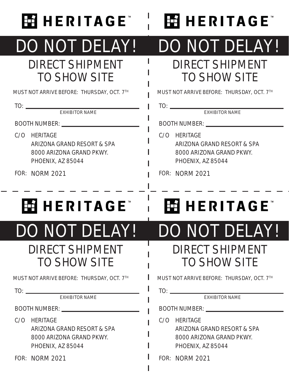

# DO NOT DELAY!

## DIRECT SHIPMENT TO SHOW SITE

MUST NOT ARRIVE BEFORE: THURSDAY, OCT. 7TH

TO:

EXHIBITOR NAME

BOOTH NUMBER:

- C/O HERITAGE ARIZONA GRAND RESORT & SPA 8000 ARIZONA GRAND PKWY. PHOENIX, AZ 85044
- FOR: NORM 2021

# DO NOT DELAY!

**HAHERITAGE** 

## DIRECT SHIPMENT TO SHOW SITE

MUST NOT ARRIVE BEFORE: THURSDAY, OCT. 7TH

TO:

EXHIBITOR NAME

BOOTH NUMBER: \_\_\_\_\_\_\_\_\_\_\_\_

C/O HERITAGE ARIZONA GRAND RESORT & SPA 8000 ARIZONA GRAND PKWY. PHOENIX, AZ 85044

FOR: NORM 2021

## **HHHERITAGE**

# DO NOT DELAY!

## DIRECT SHIPMENT TO SHOW SITE

MUST NOT ARRIVE BEFORE: THURSDAY, OCT. 7TH

TO:

EXHIBITOR NAME

BOOTH NUMBER:

- C/O HERITAGE ARIZONA GRAND RESORT & SPA 8000 ARIZONA GRAND PKWY. PHOENIX, AZ 85044
- FOR: NORM 2021

## **HIHERITAGE** DO NOT DELAY!

## DIRECT SHIPMENT TO SHOW SITE

MUST NOT ARRIVE BEFORE: THURSDAY, OCT. 7TH

TO:

EXHIBITOR NAME

BOOTH NUMBER:

- C/O HERITAGE ARIZONA GRAND RESORT & SPA 8000 ARIZONA GRAND PKWY. PHOENIX, AZ 85044
- FOR: NORM 2021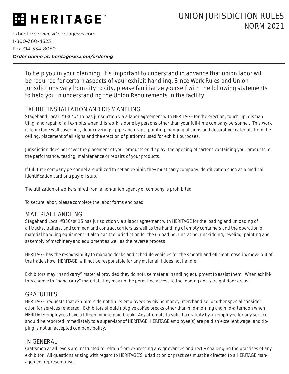## **HERITAGE**

exhibitor.services@heritagesvs.com 1-800-360-4323 Fax 314-534-8050 *Order online at: heritagesvs.com/ordering*

> To help you in your planning, it's important to understand in advance that union labor will be required for certain aspects of your exhibit handling. Since Work Rules and Union Jurisdictions vary from city to city, please familiarize yourself with the following statements to help you in understanding the Union Requirements in the facility.

#### EXHIBIT INSTALLATION AND DISMANTLING

Stagehand Local #336/#415 has jurisdiction via a labor agreement with HERITAGE for the erection, touch-up, dismantling, and repair of all exhibits when this work is done by persons other than your full-time company personnel. This work is to include wall coverings, floor coverings, pipe and drape, painting, hanging of signs and decorative materials from the ceiling, placement of all signs and the erection of platforms used for exhibit purposes.

Jurisdiction does not cover the placement of your products on display, the opening of cartons containing your products, or the performance, testing, maintenance or repairs of your products.

If full-time company personnel are utilized to set an exhibit, they must carry company identification such as a medical identification card or a payroll stub.

The utilization of workers hired from a non-union agency or company is prohibited.

To secure labor, please complete the labor forms enclosed.

#### MATERIAL HANDLING

Stagehand Local #336/#415 has jurisdiction via a labor agreement with HERITAGE for the loading and unloading of all trucks, trailers, and common and contract carriers as well as the handling of empty containers and the operation of material handling equipment. It also has the jurisdiction for the unloading, uncrating, unskidding, leveling, painting and assembly of machinery and equipment as well as the reverse process.

HERITAGE has the responsibility to manage docks and schedule vehicles for the smooth and efficient move-in/move-out of the trade show. HERITAGE will not be responsible for any material it does not handle.

Exhibitors may "hand carry" material provided they do not use material handling equipment to assist them. When exhibitors choose to "hand carry" material, they may not be permitted access to the loading dock/freight door areas.

#### **GRATUITIES**

HERITAGE requests that exhibitors do not tip its employees by giving money, merchandise, or other special consideration for services rendered. Exhibitors should not give coffee breaks other than mid-morning and mid-afternoon when HERITAGE employees have a fifteen minute paid break. Any attempts to solicit a gratuity by an employee for any service, should be reported immediately to a supervisor of HERITAGE. HERITAGE employee(s) are paid an excellent wage, and tipping is not an accepted company policy.

#### IN GENERAL

Craftsmen at all levels are instructed to refrain from expressing any grievances or directly challenging the practices of any exhibitor. All questions arising with regard to HERITAGE'S jurisdiction or practices must be directed to a HERITAGE management representative.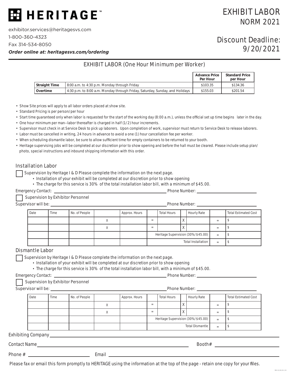

exhibitor.services@heritagesvs.com

1-800-360-4323

Fax 314-534-8050

*Order online at: heritagesvs.com/ordering*

#### EXHIBIT LABOR (One Hour Minimum per Worker)

|                      |                                                                              | <b>Advance Price</b><br>Per Hour | <b>Standard Price</b><br>per Hour |
|----------------------|------------------------------------------------------------------------------|----------------------------------|-----------------------------------|
| <b>Straight Time</b> | 8:00 a.m. to 4:30 p.m. Monday through Friday                                 | \$103.35                         | \$134.36                          |
| Overtime             | 4:30 p.m. to 8:00 a.m. Monday through Friday, Saturday, Sunday, and Holidays | \$155.03                         | \$201.54                          |

• Show Site prices will apply to all labor orders placed at show site.

- Standard Pricing is per person/per hour
- Start time guaranteed only when labor is requested for the start of the working day (8:00 a.m.), unless the official set up time begins later in the day.
- One hour minimum per man--labor thereafter is charged in half (1/2) hour increments.
- Supervisor must check in at Service Desk to pick up laborers. Upon completion of work, supervisor must return to Service Desk to release laborers.
- Labor must be cancelled in writing, 24 hours in advance to avoid a one (1) hour cancellation fee per worker.
- When scheduling dismantle labor, be sure to allow sufficient time for empty containers to be returned to your booth.
- Heritage supervising jobs will be completed at our discretion prior to show opening and before the hall must be cleared. Please include setup plan/ photo, special instructions and inbound shipping information with this order.

#### Installation Labor

Supervision by Heritage I & D Please complete the information on the next page.

- Installation of your exhibit will be completed at our discretion prior to show opening
- The charge for this service is 30% of the total installation labor bill, with a minimum of \$45.00.

Emergency Contact: <u>Phone Number:</u> Phone Number: **Phone Number:** Phone Number: **Phone Number:** Phone Number: **Phone Number:** Phone Number: **Phone Number:** Phone Number: **Phone Number: 2006** 

Supervision by Exhibitor Personnel

Supervisor will be: Letter that the supervisor will be: Letter that the phone Number: Letter that the phone Number: Letter that the supervisor will be: Letter that the supervisor will be a supervisor will be a supervisor w

Date Time No. of People Approx. Hours Total Hours Hourly Rate Total Estimated Cost  $X$  |= |  $|X|$  |= |\$  $X$  |= |  $|X|$  |= |\$ Heritage Supervision (30%/\$45.00)  $\Big|$  =  $\Big|$  \$ Total Installation  $\begin{vmatrix} 1 & 0 \\ 0 & -1 \end{vmatrix}$ 

#### Dismantle Labor

Supervision by Heritage I & D Please complete the information on the next page.

• Installation of your exhibit will be completed at our discretion prior to show opening

• The charge for this service is 30% of the total installation labor bill, with a minimum of \$45.00.

Emergency Contact: Phone Number:

Supervision by Exhibitor Personnel

Supervisor will be: Phone Number:

Date Time No. of People Approx. Hours Total Hours Hourly Rate Total Estimated Cost  $\mathsf{X}$  | = |  $\mathsf{X}$  | = |  $\mathsf{S}$  $X$   $=$   $X$   $=$   $\frac{1}{2}$ Heritage Supervision (30%/\$45.00)  $\Big|$  =  $\Big|$  \$ Total Dismantle  $\begin{array}{ccc} \n\end{array}$  =  $\begin{array}{ccc} \n\end{array}$  \$

Exhibiting Company

Contact Name

Phone # Email

Discount Deadline:

9/20/2021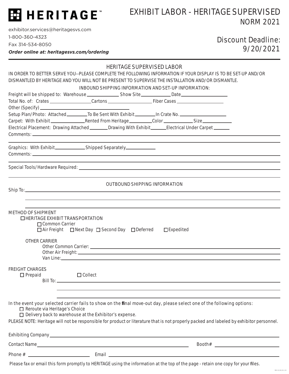

### EXHIBIT LABOR - HERITAGE SUPERVISED NORM 2021

exhibitor.services@heritagesvs.com 1-800-360-4323

Fax 314-534-8050

*Order online at: heritagesvs.com/ordering*

### Discount Deadline: 9/20/2021

|  | <b>HERITAGE SUPERVISED LABOR</b> |  |
|--|----------------------------------|--|
|--|----------------------------------|--|

IN ORDER TO BETTER SERVE YOU--PLEASE COMPLETE THE FOLLOWING INFORMATION IF YOUR DISPLAY IS TO BE SET-UP AND/OR DISMANTLED BY HERITAGE AND YOU WILL NOT BE PRESENT TO SUPERVISE THE INSTALLATION AND/OR DISMANTLE.

|                                                                                                                 | <b>INBOUND SHIPPING INFORMATION AND SET-UP INFORMATION:</b>                                                                                                                                                                    |                                      |                                                                                                                                                                                                                                                                    |  |
|-----------------------------------------------------------------------------------------------------------------|--------------------------------------------------------------------------------------------------------------------------------------------------------------------------------------------------------------------------------|--------------------------------------|--------------------------------------------------------------------------------------------------------------------------------------------------------------------------------------------------------------------------------------------------------------------|--|
| Freight will be shipped to: Warehouse __________________Show Site_____________Date__________________            |                                                                                                                                                                                                                                |                                      |                                                                                                                                                                                                                                                                    |  |
|                                                                                                                 |                                                                                                                                                                                                                                |                                      |                                                                                                                                                                                                                                                                    |  |
| Setup Plan/Photo: Attached ___________To Be Sent With Exhibit _________In Crate No. _______________             |                                                                                                                                                                                                                                |                                      |                                                                                                                                                                                                                                                                    |  |
|                                                                                                                 |                                                                                                                                                                                                                                |                                      |                                                                                                                                                                                                                                                                    |  |
| Electrical Placement: Drawing Attached ________Drawing With Exhibit______Electrical Under Carpet ______         |                                                                                                                                                                                                                                |                                      |                                                                                                                                                                                                                                                                    |  |
|                                                                                                                 |                                                                                                                                                                                                                                |                                      |                                                                                                                                                                                                                                                                    |  |
|                                                                                                                 |                                                                                                                                                                                                                                |                                      |                                                                                                                                                                                                                                                                    |  |
|                                                                                                                 |                                                                                                                                                                                                                                |                                      |                                                                                                                                                                                                                                                                    |  |
|                                                                                                                 |                                                                                                                                                                                                                                |                                      |                                                                                                                                                                                                                                                                    |  |
|                                                                                                                 |                                                                                                                                                                                                                                |                                      |                                                                                                                                                                                                                                                                    |  |
|                                                                                                                 |                                                                                                                                                                                                                                | <b>OUTBOUND SHIPPING INFORMATION</b> |                                                                                                                                                                                                                                                                    |  |
|                                                                                                                 |                                                                                                                                                                                                                                |                                      |                                                                                                                                                                                                                                                                    |  |
|                                                                                                                 |                                                                                                                                                                                                                                |                                      |                                                                                                                                                                                                                                                                    |  |
| <b>METHOD OF SHIPMENT</b><br>$\Box$ HERITAGE EXHIBIT TRANSPORTATION<br>□ Common Carrier<br><b>OTHER CARRIER</b> | □ Air Freight □ Next Day □ Second Day □ Deferred                                                                                                                                                                               | $\square$ Expedited                  |                                                                                                                                                                                                                                                                    |  |
|                                                                                                                 |                                                                                                                                                                                                                                |                                      |                                                                                                                                                                                                                                                                    |  |
|                                                                                                                 | Van Line: University of the Contract of the Contract of the Contract of the Contract of the Contract of the Contract of the Contract of the Contract of the Contract of the Contract of the Contract of the Contract of the Co |                                      |                                                                                                                                                                                                                                                                    |  |
| <b>FREIGHT CHARGES</b><br>$\Box$ Prepaid                                                                        | $\Box$ Collect                                                                                                                                                                                                                 |                                      |                                                                                                                                                                                                                                                                    |  |
|                                                                                                                 |                                                                                                                                                                                                                                |                                      |                                                                                                                                                                                                                                                                    |  |
|                                                                                                                 |                                                                                                                                                                                                                                |                                      |                                                                                                                                                                                                                                                                    |  |
| Reroute via Heritage's Choice                                                                                   | □ Delivery back to warehouse at the Exhibitor's expense.                                                                                                                                                                       |                                      | In the event your selected carrier fails to show on the final move-out day, please select one of the following options:<br>PLEASE NOTE: Heritage will not be responsible for product or literature that is not properly packed and labeled by exhibitor personnel. |  |
|                                                                                                                 |                                                                                                                                                                                                                                |                                      |                                                                                                                                                                                                                                                                    |  |
|                                                                                                                 |                                                                                                                                                                                                                                |                                      |                                                                                                                                                                                                                                                                    |  |
|                                                                                                                 |                                                                                                                                                                                                                                |                                      |                                                                                                                                                                                                                                                                    |  |
|                                                                                                                 |                                                                                                                                                                                                                                |                                      |                                                                                                                                                                                                                                                                    |  |

Please fax or email this form promptly to HERITAGE using the information at the top of the page - retain one copy for your files.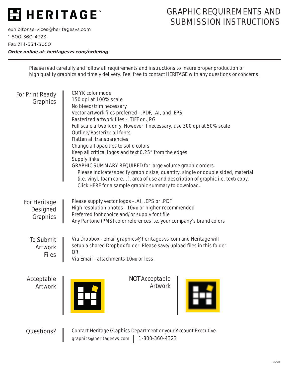

## GRAPHIC REQUIREMENTS AND SUBMISSION INSTRUCTIONS

exhibitor.services@heritagesvs.com 1-800-360-4323 Fax 314-534-8050

*Order online at: heritagesvs.com/ordering*

Please read carefully and follow all requirements and instructions to insure proper production of high quality graphics and timely delivery. Feel free to contact HERITAGE with any questions or concerns.

| For Print Ready<br>Graphics                        | <b>CMYK</b> color mode<br>150 dpi at 100% scale<br>No bleed/trim necessary<br>Vector artwork files preferred - .PDF, .AI, and .EPS<br>Rasterized artwork files - . TIFF or .JPG<br>Full scale artwork only. However if necessary, use 300 dpi at 50% scale<br>Outline/Rasterize all fonts<br>Flatten all transparencies<br>Change all opacities to solid colors<br>Keep all critical logos and text 0.25" from the edges<br><b>Supply links</b><br><b>GRAPHIC SUMMARY REQUIRED</b> for large volume graphic orders.<br>Please indicate/specify graphic size, quantity, single or double sided, material<br>(i.e. vinyl, foam core), area of use and description of graphic i.e. text/copy.<br>Click HERE for a sample graphic summary to download. |
|----------------------------------------------------|----------------------------------------------------------------------------------------------------------------------------------------------------------------------------------------------------------------------------------------------------------------------------------------------------------------------------------------------------------------------------------------------------------------------------------------------------------------------------------------------------------------------------------------------------------------------------------------------------------------------------------------------------------------------------------------------------------------------------------------------------|
| For Heritage<br>Designed<br>Graphics               | Please supply vector logos - . AI, . EPS or . PDF<br>High resolution photos - 10MB or higher recommended<br>Preferred font choice and/or supply font file<br>Any Pantone (PMS) color references i.e. your company's brand colors                                                                                                                                                                                                                                                                                                                                                                                                                                                                                                                   |
| <b>To Submit</b><br><b>Artwork</b><br><b>Files</b> | Via Dropbox - email graphics@heritagesvs.com and Heritage will<br>setup a shared Dropbox folder. Please save/upload files in this folder.<br><b>OR</b><br>Via Email - attachments 10MB or less.                                                                                                                                                                                                                                                                                                                                                                                                                                                                                                                                                    |
| Acceptable<br>Artwork                              | <b>NOT Acceptable</b><br>Artwork                                                                                                                                                                                                                                                                                                                                                                                                                                                                                                                                                                                                                                                                                                                   |
| Questions?                                         | Contact Heritage Graphics Department or your Account Executive<br>1-800-360-4323<br>graphics@heritagesvs.com                                                                                                                                                                                                                                                                                                                                                                                                                                                                                                                                                                                                                                       |